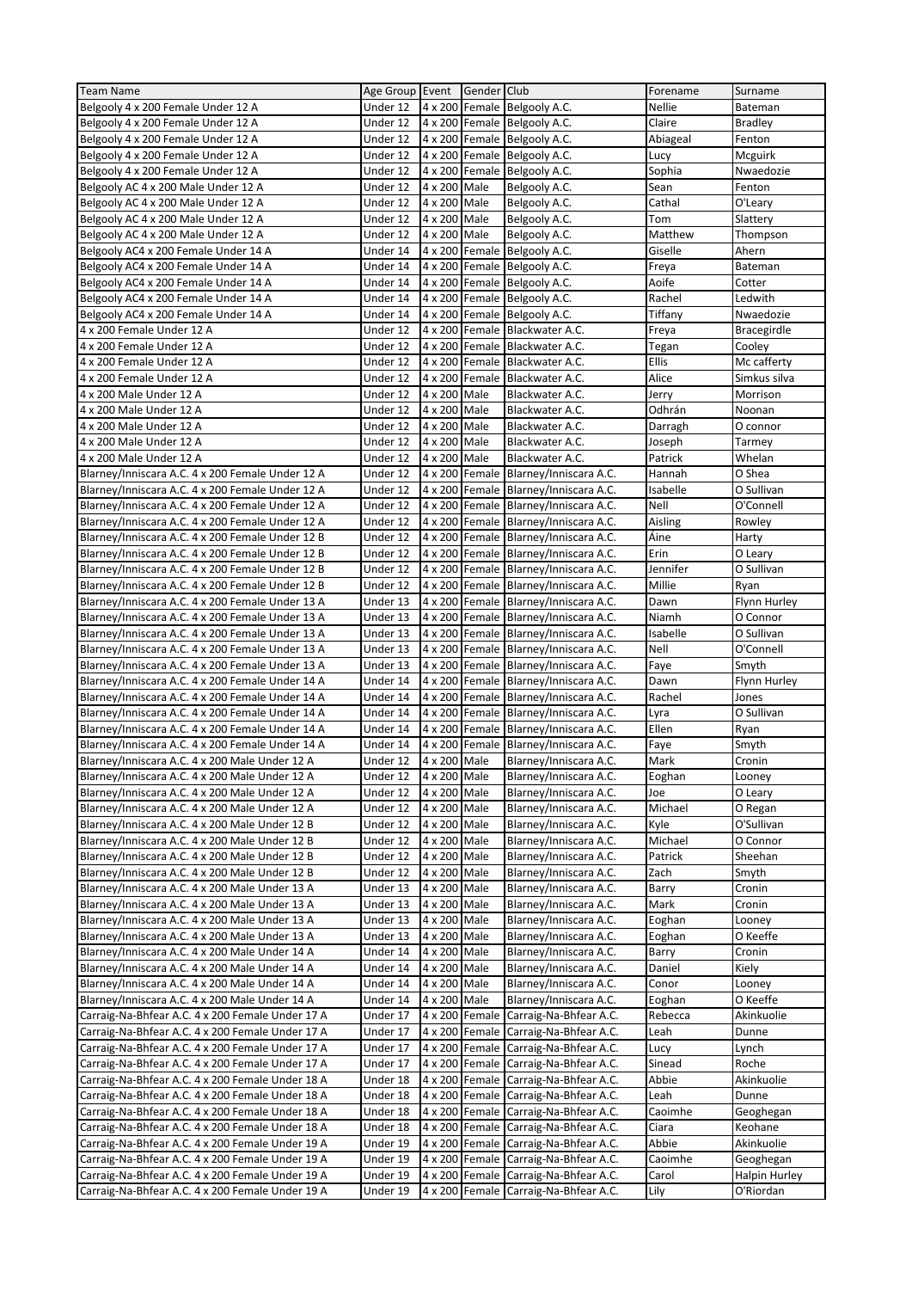| <b>Team Name</b>                                 | Age Group Event |              | Gender Club    |                                       | Forename         | Surname            |
|--------------------------------------------------|-----------------|--------------|----------------|---------------------------------------|------------------|--------------------|
| Belgooly 4 x 200 Female Under 12 A               | Under 12        |              |                | 4 x 200 Female Belgooly A.C.          | Nellie           | Bateman            |
| Belgooly 4 x 200 Female Under 12 A               | Under 12        |              |                | 4 x 200 Female Belgooly A.C.          | Claire           | Bradley            |
| Belgooly 4 x 200 Female Under 12 A               | Under 12        |              |                | 4 x 200 Female Belgooly A.C.          | Abiageal         | Fenton             |
| Belgooly 4 x 200 Female Under 12 A               | Under 12        |              |                | 4 x 200 Female Belgooly A.C.          | Lucy             | Mcguirk            |
| Belgooly 4 x 200 Female Under 12 A               | Under 12        |              |                | 4 x 200 Female Belgooly A.C.          | Sophia           | Nwaedozie          |
| Belgooly AC 4 x 200 Male Under 12 A              | Under 12        | 4 x 200 Male |                | Belgooly A.C.                         | Sean             | Fenton             |
| Belgooly AC 4 x 200 Male Under 12 A              | Under 12        | 4 x 200 Male |                | Belgooly A.C.                         | Cathal           | O'Leary            |
| Belgooly AC 4 x 200 Male Under 12 A              | Under 12        | 4 x 200 Male |                | Belgooly A.C.                         | Tom              | Slattery           |
| Belgooly AC 4 x 200 Male Under 12 A              | Under 12        | 4 x 200 Male |                | Belgooly A.C.                         | Matthew          | Thompson           |
| Belgooly AC4 x 200 Female Under 14 A             | Under 14        |              |                | 4 x 200 Female Belgooly A.C.          | Giselle          | Ahern              |
| Belgooly AC4 x 200 Female Under 14 A             | Under 14        |              |                | 4 x 200 Female Belgooly A.C.          | Freya            | Bateman            |
| Belgooly AC4 x 200 Female Under 14 A             | Under 14        |              |                | 4 x 200 Female Belgooly A.C.          | Aoife            | Cotter             |
| Belgooly AC4 x 200 Female Under 14 A             | Under 14        |              |                | 4 x 200 Female Belgooly A.C.          | Rachel           | Ledwith            |
| Belgooly AC4 x 200 Female Under 14 A             | Under 14        |              |                | 4 x 200 Female Belgooly A.C.          | Tiffany          | Nwaedozie          |
| 4 x 200 Female Under 12 A                        | Under 12        |              |                | 4 x 200 Female Blackwater A.C.        | Freya            | <b>Bracegirdle</b> |
| 4 x 200 Female Under 12 A                        | Under 12        |              |                | 4 x 200 Female Blackwater A.C.        | Tegan            | Cooley             |
| 4 x 200 Female Under 12 A                        | Under 12        |              |                | 4 x 200 Female Blackwater A.C.        | Ellis            | Mc cafferty        |
| 4 x 200 Female Under 12 A                        | Under 12        |              |                | 4 x 200 Female Blackwater A.C.        | Alice            | Simkus silva       |
| 4 x 200 Male Under 12 A                          | Under 12        | 4 x 200 Male |                | Blackwater A.C.                       | Jerry            | Morrison           |
| 4 x 200 Male Under 12 A                          | Under 12        | 4 x 200 Male |                | Blackwater A.C.                       | Odhrán           | Noonan             |
| 4 x 200 Male Under 12 A                          | Under 12        | 4 x 200 Male |                | Blackwater A.C.                       | Darragh          | O connor           |
| 4 x 200 Male Under 12 A                          | Under 12        | 4 x 200 Male |                | Blackwater A.C.                       | Joseph           | Tarmey             |
| 4 x 200 Male Under 12 A                          | Under 12        | 4 x 200 Male |                | Blackwater A.C.                       | Patrick          | Whelan             |
| Blarney/Inniscara A.C. 4 x 200 Female Under 12 A | Under 12        |              |                | 4 x 200 Female Blarney/Inniscara A.C. | Hannah           | O Shea             |
| Blarney/Inniscara A.C. 4 x 200 Female Under 12 A | Under 12        |              |                | 4 x 200 Female Blarney/Inniscara A.C. |                  | O Sullivan         |
| Blarney/Inniscara A.C. 4 x 200 Female Under 12 A |                 |              |                |                                       | Isabelle<br>Nell | O'Connell          |
|                                                  | Under 12        |              |                | 4 x 200 Female Blarney/Inniscara A.C. |                  |                    |
| Blarney/Inniscara A.C. 4 x 200 Female Under 12 A | Under 12        |              |                | 4 x 200 Female Blarney/Inniscara A.C. | Aisling          | Rowley             |
| Blarney/Inniscara A.C. 4 x 200 Female Under 12 B | Under 12        |              |                | 4 x 200 Female Blarney/Inniscara A.C. | Áine             | Harty              |
| Blarney/Inniscara A.C. 4 x 200 Female Under 12 B | Under 12        |              |                | 4 x 200 Female Blarney/Inniscara A.C. | Erin             | O Leary            |
| Blarney/Inniscara A.C. 4 x 200 Female Under 12 B | Under 12        |              |                | 4 x 200 Female Blarney/Inniscara A.C. | Jennifer         | O Sullivan         |
| Blarney/Inniscara A.C. 4 x 200 Female Under 12 B | Under 12        |              |                | 4 x 200 Female Blarney/Inniscara A.C. | Millie           | Ryan               |
| Blarney/Inniscara A.C. 4 x 200 Female Under 13 A | Under 13        |              |                | 4 x 200 Female Blarney/Inniscara A.C. | Dawn             | Flynn Hurley       |
| Blarney/Inniscara A.C. 4 x 200 Female Under 13 A | Under 13        |              |                | 4 x 200 Female Blarney/Inniscara A.C. | Niamh            | O Connor           |
| Blarney/Inniscara A.C. 4 x 200 Female Under 13 A | Under 13        |              |                | 4 x 200 Female Blarney/Inniscara A.C. | Isabelle         | O Sullivan         |
| Blarney/Inniscara A.C. 4 x 200 Female Under 13 A | Under 13        |              |                | 4 x 200 Female Blarney/Inniscara A.C. | Nell             | O'Connell          |
| Blarney/Inniscara A.C. 4 x 200 Female Under 13 A | Under 13        |              |                | 4 x 200 Female Blarney/Inniscara A.C. | Faye             | Smyth              |
| Blarney/Inniscara A.C. 4 x 200 Female Under 14 A | Under 14        |              |                | 4 x 200 Female Blarney/Inniscara A.C. | Dawn             | Flynn Hurley       |
| Blarney/Inniscara A.C. 4 x 200 Female Under 14 A | Under 14        |              |                | 4 x 200 Female Blarney/Inniscara A.C. | Rachel           | Jones              |
| Blarney/Inniscara A.C. 4 x 200 Female Under 14 A | Under 14        |              |                | 4 x 200 Female Blarney/Inniscara A.C. | Lyra             | O Sullivan         |
| Blarney/Inniscara A.C. 4 x 200 Female Under 14 A | Under 14        |              |                | 4 x 200 Female Blarney/Inniscara A.C. | Ellen            | Ryan               |
| Blarney/Inniscara A.C. 4 x 200 Female Under 14 A | Under 14        |              |                | 4 x 200 Female Blarney/Inniscara A.C. | Faye             | Smyth              |
| Blarney/Inniscara A.C. 4 x 200 Male Under 12 A   | Under 12        | 4 x 200 Male |                | Blarney/Inniscara A.C.                | Mark             | Cronin             |
| Blarney/Inniscara A.C. 4 x 200 Male Under 12 A   | Under 12        | 4 x 200 Male |                | Blarney/Inniscara A.C.                | Eoghan           | Looney             |
| Blarney/Inniscara A.C. 4 x 200 Male Under 12 A   | Under 12        | 4 x 200 Male |                | Blarney/Inniscara A.C.                | Joe              | O Leary            |
| Blarney/Inniscara A.C. 4 x 200 Male Under 12 A   | Under 12        | 4 x 200 Male |                | Blarney/Inniscara A.C.                | Michael          | O Regan            |
| Blarney/Inniscara A.C. 4 x 200 Male Under 12 B   | Under 12        | 4 x 200 Male |                | Blarney/Inniscara A.C.                | Kyle             | O'Sullivan         |
| Blarney/Inniscara A.C. 4 x 200 Male Under 12 B   | Under 12        | 4 x 200 Male |                | Blarney/Inniscara A.C.                | Michael          | O Connor           |
| Blarney/Inniscara A.C. 4 x 200 Male Under 12 B   | Under 12        | 4 x 200 Male |                | Blarney/Inniscara A.C.                | Patrick          | Sheehan            |
| Blarney/Inniscara A.C. 4 x 200 Male Under 12 B   | Under 12        | 4 x 200 Male |                | Blarney/Inniscara A.C.                | Zach             | Smyth              |
| Blarney/Inniscara A.C. 4 x 200 Male Under 13 A   | Under 13        | 4 x 200 Male |                | Blarney/Inniscara A.C.                | Barry            | Cronin             |
| Blarney/Inniscara A.C. 4 x 200 Male Under 13 A   | Under 13        | 4 x 200 Male |                | Blarney/Inniscara A.C.                | Mark             | Cronin             |
| Blarney/Inniscara A.C. 4 x 200 Male Under 13 A   | Under 13        | 4 x 200 Male |                | Blarney/Inniscara A.C.                | Eoghan           | Looney             |
| Blarney/Inniscara A.C. 4 x 200 Male Under 13 A   | Under 13        | 4 x 200 Male |                | Blarney/Inniscara A.C.                | Eoghan           | O Keeffe           |
| Blarney/Inniscara A.C. 4 x 200 Male Under 14 A   | Under 14        | 4 x 200 Male |                | Blarney/Inniscara A.C.                | Barry            | Cronin             |
| Blarney/Inniscara A.C. 4 x 200 Male Under 14 A   | Under 14        | 4 x 200 Male |                | Blarney/Inniscara A.C.                | Daniel           | Kiely              |
| Blarney/Inniscara A.C. 4 x 200 Male Under 14 A   | Under 14        | 4 x 200 Male |                | Blarney/Inniscara A.C.                | Conor            | Looney             |
| Blarney/Inniscara A.C. 4 x 200 Male Under 14 A   | Under 14        | 4 x 200 Male |                | Blarney/Inniscara A.C.                | Eoghan           | O Keeffe           |
| Carraig-Na-Bhfear A.C. 4 x 200 Female Under 17 A | Under 17        |              | 4 x 200 Female | Carraig-Na-Bhfear A.C.                | Rebecca          | Akinkuolie         |
| Carraig-Na-Bhfear A.C. 4 x 200 Female Under 17 A | Under 17        |              | 4 x 200 Female | Carraig-Na-Bhfear A.C.                | Leah             | Dunne              |
| Carraig-Na-Bhfear A.C. 4 x 200 Female Under 17 A | Under 17        |              | 4 x 200 Female | Carraig-Na-Bhfear A.C.                | Lucy             | Lynch              |
| Carraig-Na-Bhfear A.C. 4 x 200 Female Under 17 A | Under 17        |              | 4 x 200 Female | Carraig-Na-Bhfear A.C.                | Sinead           | Roche              |
| Carraig-Na-Bhfear A.C. 4 x 200 Female Under 18 A | Under 18        |              | 4 x 200 Female | Carraig-Na-Bhfear A.C.                | Abbie            | Akinkuolie         |
| Carraig-Na-Bhfear A.C. 4 x 200 Female Under 18 A | Under 18        |              | 4 x 200 Female | Carraig-Na-Bhfear A.C.                | Leah             | Dunne              |
| Carraig-Na-Bhfear A.C. 4 x 200 Female Under 18 A | Under 18        |              | 4 x 200 Female | Carraig-Na-Bhfear A.C.                | Caoimhe          | Geoghegan          |
| Carraig-Na-Bhfear A.C. 4 x 200 Female Under 18 A | Under 18        |              | 4 x 200 Female | Carraig-Na-Bhfear A.C.                | Ciara            | Keohane            |
| Carraig-Na-Bhfear A.C. 4 x 200 Female Under 19 A | Under 19        |              | 4 x 200 Female | Carraig-Na-Bhfear A.C.                | Abbie            | Akinkuolie         |
| Carraig-Na-Bhfear A.C. 4 x 200 Female Under 19 A | Under 19        |              | 4 x 200 Female | Carraig-Na-Bhfear A.C.                | Caoimhe          | Geoghegan          |
| Carraig-Na-Bhfear A.C. 4 x 200 Female Under 19 A | Under 19        |              |                | 4 x 200 Female Carraig-Na-Bhfear A.C. | Carol            | Halpin Hurley      |
| Carraig-Na-Bhfear A.C. 4 x 200 Female Under 19 A | Under 19        |              |                | 4 x 200 Female Carraig-Na-Bhfear A.C. | Lily             | O'Riordan          |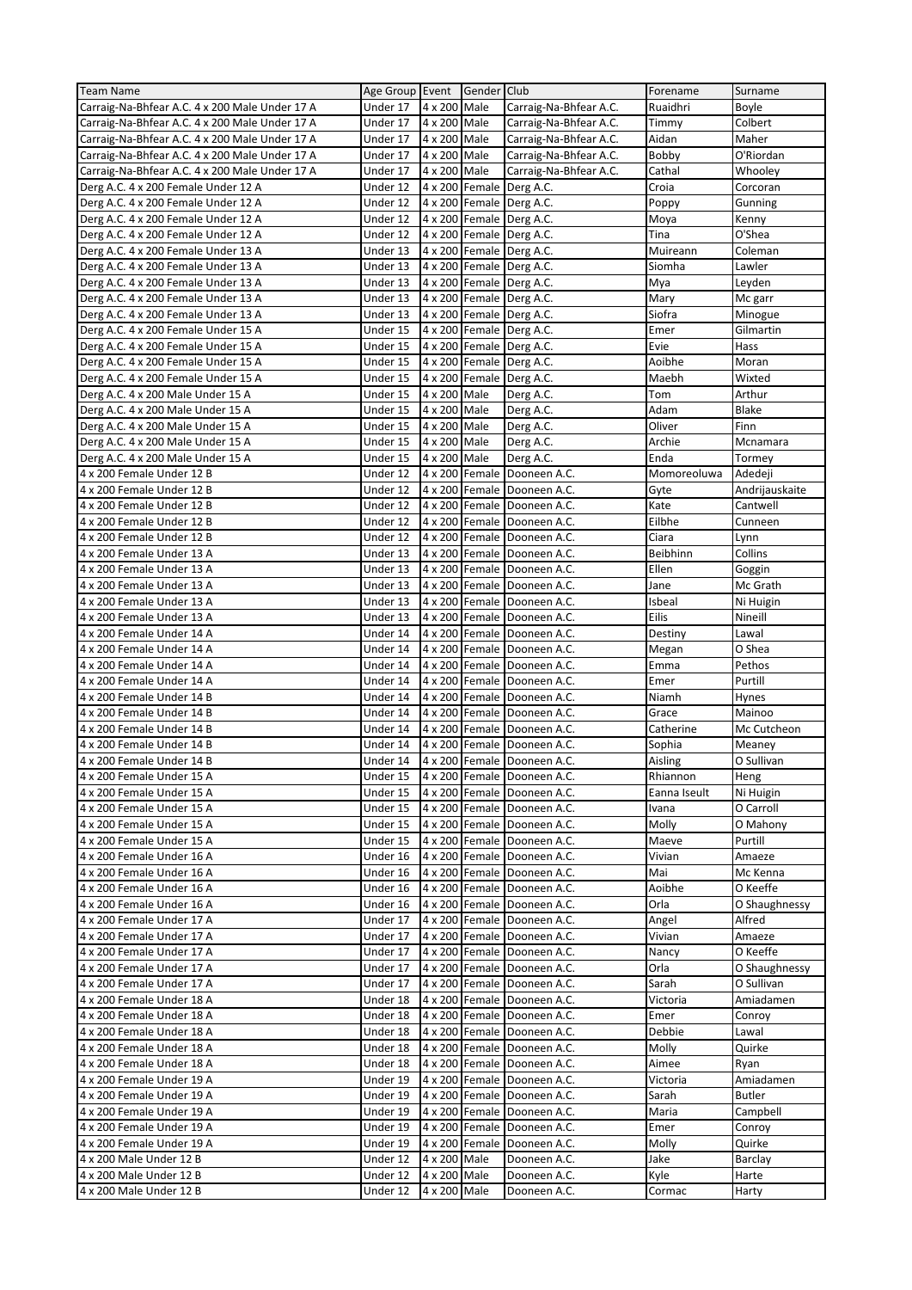| <b>Team Name</b>                                               | Age Group Event Gender Club |                                |                |                             | Forename       | Surname           |
|----------------------------------------------------------------|-----------------------------|--------------------------------|----------------|-----------------------------|----------------|-------------------|
| Carraig-Na-Bhfear A.C. 4 x 200 Male Under 17 A                 | Under 17                    | 4 x 200 Male                   |                | Carraig-Na-Bhfear A.C.      | Ruaidhri       | Boyle             |
| Carraig-Na-Bhfear A.C. 4 x 200 Male Under 17 A                 | Under 17                    | 4 x 200 Male                   |                | Carraig-Na-Bhfear A.C.      | Timmy          | Colbert           |
| Carraig-Na-Bhfear A.C. 4 x 200 Male Under 17 A                 | Under 17                    | 4 x 200 Male                   |                | Carraig-Na-Bhfear A.C.      | Aidan          | Maher             |
| Carraig-Na-Bhfear A.C. 4 x 200 Male Under 17 A                 | Under 17                    | 4 x 200 Male                   |                | Carraig-Na-Bhfear A.C.      | Bobby          | O'Riordan         |
| Carraig-Na-Bhfear A.C. 4 x 200 Male Under 17 A                 | Under 17                    | 4 x 200 Male                   |                | Carraig-Na-Bhfear A.C.      | Cathal         | Whooley           |
| Derg A.C. 4 x 200 Female Under 12 A                            | Under 12                    | 4 x 200 Female                 |                | Derg A.C.                   | Croia          | Corcoran          |
| Derg A.C. 4 x 200 Female Under 12 A                            | Under 12                    |                                |                | 4 x 200 Female Derg A.C.    | Poppy          | Gunning           |
| Derg A.C. 4 x 200 Female Under 12 A                            | Under 12                    |                                |                | 4 x 200 Female Derg A.C.    | Moya           | Kenny             |
| Derg A.C. 4 x 200 Female Under 12 A                            | Under 12                    |                                |                | 4 x 200 Female Derg A.C.    | Tina           | O'Shea            |
| Derg A.C. 4 x 200 Female Under 13 A                            | Under 13                    |                                |                | 4 x 200 Female Derg A.C.    | Muireann       | Coleman           |
| Derg A.C. 4 x 200 Female Under 13 A                            | Under 13                    |                                |                | 4 x 200 Female Derg A.C.    | Siomha         | Lawler            |
| Derg A.C. 4 x 200 Female Under 13 A                            | Under 13                    |                                |                | 4 x 200 Female Derg A.C.    | Mya            | Leyden            |
| Derg A.C. 4 x 200 Female Under 13 A                            | Under 13                    |                                |                | 4 x 200 Female Derg A.C.    | Mary           | Mc garr           |
| Derg A.C. 4 x 200 Female Under 13 A                            | Under 13                    |                                |                | 4 x 200 Female Derg A.C.    | Siofra         | Minogue           |
| Derg A.C. 4 x 200 Female Under 15 A                            | Under 15                    |                                |                | 4 x 200 Female Derg A.C.    | Emer           | Gilmartin         |
| Derg A.C. 4 x 200 Female Under 15 A                            | Under 15                    |                                |                | 4 x 200 Female Derg A.C.    | Evie           | Hass              |
| Derg A.C. 4 x 200 Female Under 15 A                            | Under 15                    |                                |                | 4 x 200 Female Derg A.C.    | Aoibhe         | Moran             |
| Derg A.C. 4 x 200 Female Under 15 A                            | Under 15                    | 4 x 200 Female                 |                | Derg A.C.                   | Maebh          | Wixted            |
| Derg A.C. 4 x 200 Male Under 15 A                              | Under 15                    | 4 x 200 Male                   |                | Derg A.C.                   | Tom            | Arthur            |
| Derg A.C. 4 x 200 Male Under 15 A                              | Under 15                    | 4 x 200 Male                   |                | Derg A.C.                   | Adam           | <b>Blake</b>      |
| Derg A.C. 4 x 200 Male Under 15 A                              | Under 15                    | 4 x 200 Male                   |                | Derg A.C.                   | Oliver         | Finn              |
| Derg A.C. 4 x 200 Male Under 15 A                              | Under 15                    | 4 x 200 Male                   |                | Derg A.C.                   | Archie         | Mcnamara          |
|                                                                |                             |                                |                |                             | Enda           |                   |
| Derg A.C. 4 x 200 Male Under 15 A<br>4 x 200 Female Under 12 B | Under 15<br>Under 12        | 4 x 200 Male<br>4 x 200 Female |                | Derg A.C.<br>Dooneen A.C.   | Momoreoluwa    | Tormey<br>Adedeji |
|                                                                | Under 12                    |                                |                | Dooneen A.C.                |                |                   |
| 4 x 200 Female Under 12 B                                      |                             | 4 x 200 Female                 | 4 x 200 Female |                             | Gyte           | Andrijauskaite    |
| 4 x 200 Female Under 12 B                                      | Under 12                    |                                |                | Dooneen A.C.                | Kate           | Cantwell          |
| 4 x 200 Female Under 12 B                                      | Under 12                    |                                | 4 x 200 Female | Dooneen A.C.                | Eilbhe         | Cunneen           |
| 4 x 200 Female Under 12 B                                      | Under 12                    |                                | 4 x 200 Female | Dooneen A.C.                | Ciara          | Lynn              |
| 4 x 200 Female Under 13 A                                      | Under 13                    |                                |                | 4 x 200 Female Dooneen A.C. | Beibhinn       | Collins           |
| 4 x 200 Female Under 13 A                                      | Under 13                    |                                |                | 4 x 200 Female Dooneen A.C. | Ellen          | Goggin            |
| 4 x 200 Female Under 13 A                                      | Under 13                    |                                |                | 4 x 200 Female Dooneen A.C. | Jane           | Mc Grath          |
| 4 x 200 Female Under 13 A                                      | Under 13                    |                                |                | 4 x 200 Female Dooneen A.C. | Isbeal         | Ni Huigin         |
| 4 x 200 Female Under 13 A                                      | Under 13                    |                                | 4 x 200 Female | Dooneen A.C.                | Eilis          | Nineill           |
| 4 x 200 Female Under 14 A                                      | Under 14                    |                                | 4 x 200 Female | Dooneen A.C.                | Destiny        | Lawal             |
| 4 x 200 Female Under 14 A                                      | Under 14                    |                                |                | 4 x 200 Female Dooneen A.C. | Megan          | O Shea            |
| 4 x 200 Female Under 14 A                                      | Under 14                    |                                |                | 4 x 200 Female Dooneen A.C. | Emma           | Pethos            |
| 4 x 200 Female Under 14 A                                      | Under 14                    |                                |                | 4 x 200 Female Dooneen A.C. | Emer           | Purtill           |
| 4 x 200 Female Under 14 B                                      | Under 14                    |                                |                | 4 x 200 Female Dooneen A.C. | Niamh          | Hynes             |
|                                                                |                             |                                |                |                             |                | Mainoo            |
| 4 x 200 Female Under 14 B                                      | Under 14                    |                                |                | 4 x 200 Female Dooneen A.C. | Grace          |                   |
| 4 x 200 Female Under 14 B                                      | Under 14                    |                                |                | 4 x 200 Female Dooneen A.C. | Catherine      | Mc Cutcheon       |
| 4 x 200 Female Under 14 B                                      | Under 14                    |                                | 4 x 200 Female | Dooneen A.C.                | Sophia         | Meaney            |
| 4 x 200 Female Under 14 B                                      | Under 14                    |                                |                | 4 x 200 Female Dooneen A.C. | Aisling        | O Sullivan        |
| 4 x 200 Female Under 15 A                                      | Under 15                    |                                |                | 4 x 200 Female Dooneen A.C. | Rhiannon       | Heng              |
| 4 x 200 Female Under 15 A                                      | Under 15                    |                                |                | 4 x 200 Female Dooneen A.C. | Eanna Iseult   | Ni Huigin         |
| 4 x 200 Female Under 15 A                                      | Under 15                    |                                |                | 4 x 200 Female Dooneen A.C. | Ivana          | O Carroll         |
| 4 x 200 Female Under 15 A                                      | Under 15                    |                                |                | 4 x 200 Female Dooneen A.C. | Molly          | O Mahony          |
| 4 x 200 Female Under 15 A                                      | Under 15                    |                                |                | 4 x 200 Female Dooneen A.C. | Maeve          | Purtill           |
| 4 x 200 Female Under 16 A                                      | Under 16                    |                                |                | 4 x 200 Female Dooneen A.C. | Vivian         | Amaeze            |
| 4 x 200 Female Under 16 A                                      | Under 16                    |                                |                | 4 x 200 Female Dooneen A.C. | Mai            | Mc Kenna          |
| 4 x 200 Female Under 16 A                                      | Under 16                    |                                | 4 x 200 Female | Dooneen A.C.                | Aoibhe         | O Keeffe          |
| 4 x 200 Female Under 16 A                                      | Under 16                    | 4 x 200 Female                 |                | Dooneen A.C.                | Orla           | O Shaughnessy     |
| 4 x 200 Female Under 17 A                                      | Under 17                    |                                |                | 4 x 200 Female Dooneen A.C. | Angel          | Alfred            |
| 4 x 200 Female Under 17 A                                      | Under 17                    |                                |                | 4 x 200 Female Dooneen A.C. | Vivian         | Amaeze            |
| 4 x 200 Female Under 17 A                                      | Under 17                    | 4 x 200 Female                 |                | Dooneen A.C.                | Nancy          | O Keeffe          |
| 4 x 200 Female Under 17 A                                      | Under 17                    |                                |                | 4 x 200 Female Dooneen A.C. | Orla           | O Shaughnessy     |
| 4 x 200 Female Under 17 A                                      | Under 17                    |                                |                | 4 x 200 Female Dooneen A.C. | Sarah          | O Sullivan        |
| 4 x 200 Female Under 18 A                                      | Under 18                    |                                |                | 4 x 200 Female Dooneen A.C. | Victoria       | Amiadamen         |
| 4 x 200 Female Under 18 A                                      | Under 18                    | 4 x 200 Female                 |                | Dooneen A.C.                | Emer           | Conroy            |
| 4 x 200 Female Under 18 A                                      | Under 18                    | 4 x 200 Female                 |                | Dooneen A.C.                | Debbie         | Lawal             |
| 4 x 200 Female Under 18 A                                      | Under 18                    | 4 x 200 Female                 |                | Dooneen A.C.                | Molly          | Quirke            |
| 4 x 200 Female Under 18 A                                      | Under 18                    |                                |                | 4 x 200 Female Dooneen A.C. | Aimee          | Ryan              |
| 4 x 200 Female Under 19 A                                      | Under 19                    | 4 x 200 Female                 |                | Dooneen A.C.                | Victoria       | Amiadamen         |
| 4 x 200 Female Under 19 A                                      | Under 19                    |                                |                | 4 x 200 Female Dooneen A.C. | Sarah          | Butler            |
| 4 x 200 Female Under 19 A                                      | Under 19                    |                                | 4 x 200 Female | Dooneen A.C.                | Maria          | Campbell          |
| 4 x 200 Female Under 19 A                                      | Under 19                    | 4 x 200 Female                 |                | Dooneen A.C.                | Emer           | Conroy            |
| 4 x 200 Female Under 19 A                                      | Under 19                    | 4 x 200 Female                 |                | Dooneen A.C.                | Molly          | Quirke            |
| 4 x 200 Male Under 12 B                                        | Under 12                    | 4 x 200 Male                   |                | Dooneen A.C.                | Jake           | Barclay           |
| 4 x 200 Male Under 12 B                                        | Under 12<br>Under 12        | 4 x 200 Male<br>4 x 200 Male   |                | Dooneen A.C.                | Kyle<br>Cormac | Harte             |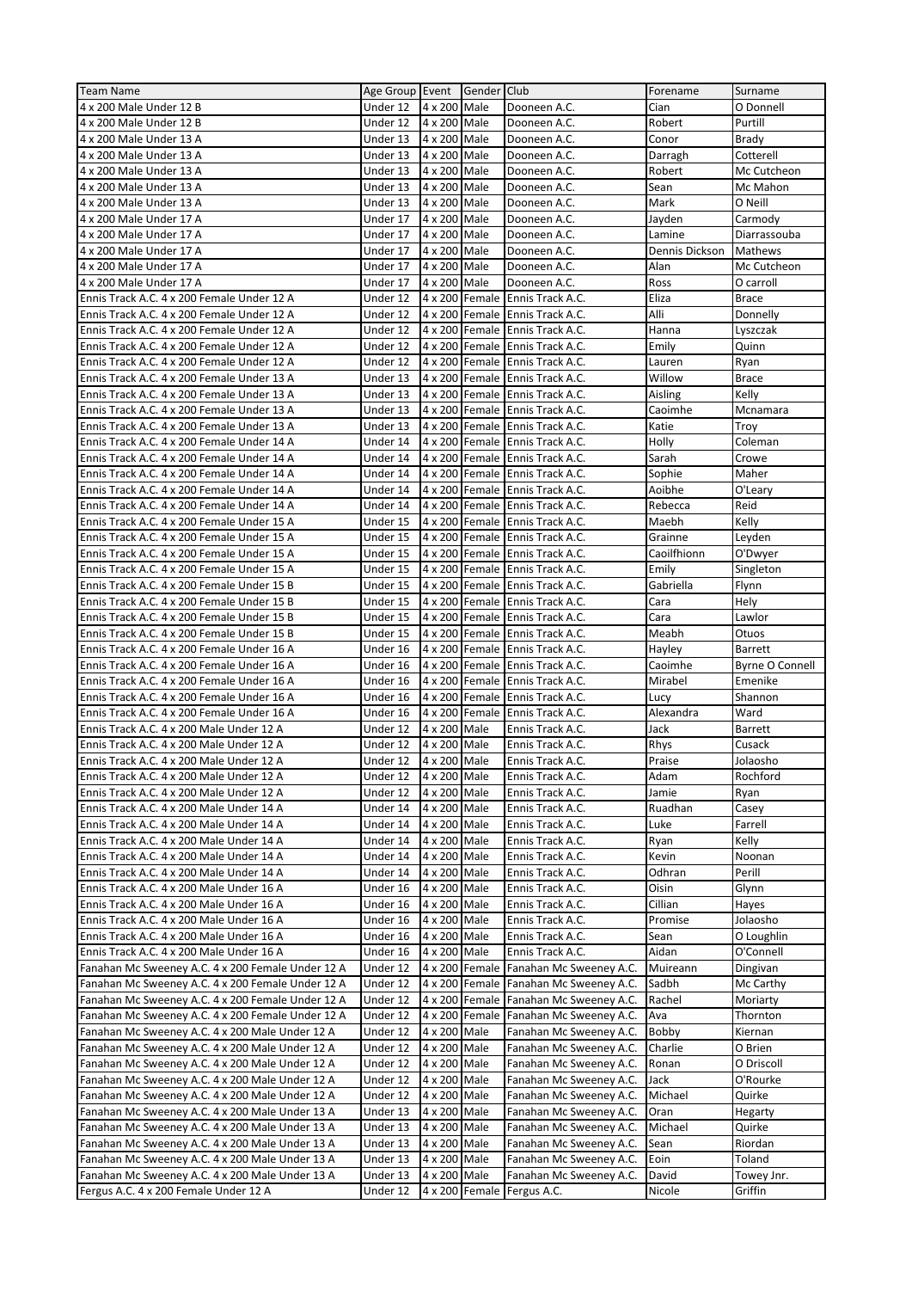| <b>Team Name</b>                                  | Age Group Event Gender Club |              |                |                                 | Forename          | Surname         |
|---------------------------------------------------|-----------------------------|--------------|----------------|---------------------------------|-------------------|-----------------|
| 4 x 200 Male Under 12 B                           | Under 12                    | 4 x 200 Male |                | Dooneen A.C.                    | Cian              | O Donnell       |
| 4 x 200 Male Under 12 B                           | Under 12                    | 4 x 200 Male |                | Dooneen A.C.                    | Robert            | Purtill         |
| 4 x 200 Male Under 13 A                           | Under 13                    | 4 x 200 Male |                | Dooneen A.C.                    | Conor             | <b>Brady</b>    |
| 4 x 200 Male Under 13 A                           | Under 13                    | 4 x 200 Male |                | Dooneen A.C.                    | Darragh           | Cotterell       |
| 4 x 200 Male Under 13 A                           | Under 13                    | 4 x 200 Male |                | Dooneen A.C.                    | Robert            | Mc Cutcheon     |
| 4 x 200 Male Under 13 A                           | Under 13                    | 4 x 200 Male |                | Dooneen A.C.                    | Sean              | Mc Mahon        |
| 4 x 200 Male Under 13 A                           | Under 13                    | 4 x 200 Male |                | Dooneen A.C.                    | Mark              | O Neill         |
| 4 x 200 Male Under 17 A                           | Under 17                    | 4 x 200 Male |                | Dooneen A.C.                    | Jayden            | Carmody         |
| 4 x 200 Male Under 17 A                           | Under 17                    | 4 x 200 Male |                | Dooneen A.C.                    | Lamine            | Diarrassouba    |
| 4 x 200 Male Under 17 A                           | Under 17                    | 4 x 200 Male |                | Dooneen A.C.                    | Dennis Dickson    | <b>Mathews</b>  |
| 4 x 200 Male Under 17 A                           | Under 17                    | 4 x 200 Male |                | Dooneen A.C.                    | Alan              | Mc Cutcheon     |
| 4 x 200 Male Under 17 A                           | Under 17                    | 4 x 200 Male |                | Dooneen A.C.                    | Ross              | O carroll       |
| Ennis Track A.C. 4 x 200 Female Under 12 A        | Under 12                    |              | 4 x 200 Female | Ennis Track A.C.                | Eliza             | <b>Brace</b>    |
| Ennis Track A.C. 4 x 200 Female Under 12 A        | Under 12                    |              |                | 4 x 200 Female Ennis Track A.C. | Alli              | Donnelly        |
| Ennis Track A.C. 4 x 200 Female Under 12 A        | Under 12                    |              |                | 4 x 200 Female Ennis Track A.C. | Hanna             | Lyszczak        |
| Ennis Track A.C. 4 x 200 Female Under 12 A        | Under 12                    |              |                | 4 x 200 Female Ennis Track A.C. | Emily             | Quinn           |
| Ennis Track A.C. 4 x 200 Female Under 12 A        | Under 12                    |              |                | 4 x 200 Female Ennis Track A.C. | Lauren            | Ryan            |
| Ennis Track A.C. 4 x 200 Female Under 13 A        | Under 13                    |              |                | 4 x 200 Female Ennis Track A.C. | Willow            | <b>Brace</b>    |
| Ennis Track A.C. 4 x 200 Female Under 13 A        | Under 13                    |              |                | 4 x 200 Female Ennis Track A.C. | Aisling           | Kelly           |
| Ennis Track A.C. 4 x 200 Female Under 13 A        | Under 13                    |              |                | 4 x 200 Female Ennis Track A.C. | Caoimhe           | Mcnamara        |
| Ennis Track A.C. 4 x 200 Female Under 13 A        | Under 13                    |              |                | 4 x 200 Female Ennis Track A.C. | Katie             | Troy            |
| Ennis Track A.C. 4 x 200 Female Under 14 A        | Under 14                    |              |                | 4 x 200 Female Ennis Track A.C. | Holly             | Coleman         |
| Ennis Track A.C. 4 x 200 Female Under 14 A        | Under 14                    |              |                | 4 x 200 Female Ennis Track A.C. | Sarah             | Crowe           |
| Ennis Track A.C. 4 x 200 Female Under 14 A        | Under 14                    |              |                | 4 x 200 Female Ennis Track A.C. | Sophie            | Maher           |
| Ennis Track A.C. 4 x 200 Female Under 14 A        | Under 14                    |              |                | 4 x 200 Female Ennis Track A.C. | Aoibhe            | O'Leary         |
| Ennis Track A.C. 4 x 200 Female Under 14 A        | Under 14                    |              |                | 4 x 200 Female Ennis Track A.C. | Rebecca           | Reid            |
| Ennis Track A.C. 4 x 200 Female Under 15 A        | Under 15                    |              |                | 4 x 200 Female Ennis Track A.C. | Maebh             | Kelly           |
| Ennis Track A.C. 4 x 200 Female Under 15 A        | Under 15                    |              |                | 4 x 200 Female Ennis Track A.C. | Grainne           | Leyden          |
| Ennis Track A.C. 4 x 200 Female Under 15 A        | Under 15                    |              |                | 4 x 200 Female Ennis Track A.C. | Caoilfhionn       | O'Dwyer         |
| Ennis Track A.C. 4 x 200 Female Under 15 A        | Under 15                    |              |                | 4 x 200 Female Ennis Track A.C. | Emily             | Singleton       |
| Ennis Track A.C. 4 x 200 Female Under 15 B        | Under 15                    |              |                | 4 x 200 Female Ennis Track A.C. | Gabriella         | Flynn           |
| Ennis Track A.C. 4 x 200 Female Under 15 B        | Under 15                    |              |                | 4 x 200 Female Ennis Track A.C. | Cara              | Hely            |
| Ennis Track A.C. 4 x 200 Female Under 15 B        | Under 15                    |              |                | 4 x 200 Female Ennis Track A.C. | Cara              | Lawlor          |
| Ennis Track A.C. 4 x 200 Female Under 15 B        | Under 15                    |              |                | 4 x 200 Female Ennis Track A.C. | Meabh             | Otuos           |
|                                                   |                             |              |                |                                 |                   |                 |
| Ennis Track A.C. 4 x 200 Female Under 16 A        | Under 16                    |              |                | 4 x 200 Female Ennis Track A.C. |                   | <b>Barrett</b>  |
| Ennis Track A.C. 4 x 200 Female Under 16 A        | Under 16                    |              |                | 4 x 200 Female Ennis Track A.C. | Hayley<br>Caoimhe | Byrne O Connell |
| Ennis Track A.C. 4 x 200 Female Under 16 A        | Under 16                    |              |                | 4 x 200 Female Ennis Track A.C. | Mirabel           | Emenike         |
| Ennis Track A.C. 4 x 200 Female Under 16 A        | Under 16                    |              |                | 4 x 200 Female Ennis Track A.C. | Lucy              | Shannon         |
| Ennis Track A.C. 4 x 200 Female Under 16 A        | Under 16                    |              |                | 4 x 200 Female Ennis Track A.C. | Alexandra         | Ward            |
| Ennis Track A.C. 4 x 200 Male Under 12 A          | Under 12                    | 4 x 200      | Male           | Ennis Track A.C.                | Jack              | <b>Barrett</b>  |
| Ennis Track A.C. 4 x 200 Male Under 12 A          | Under 12                    | 4 x 200 Male |                | Ennis Track A.C.                | Rhys              | Cusack          |
| Ennis Track A.C. 4 x 200 Male Under 12 A          | Under 12                    | 4 x 200 Male |                | Ennis Track A.C.                | Praise            | Jolaosho        |
| Ennis Track A.C. 4 x 200 Male Under 12 A          | Under 12                    | 4 x 200 Male |                | Ennis Track A.C.                | Adam              | Rochford        |
| Ennis Track A.C. 4 x 200 Male Under 12 A          | Under 12                    | 4 x 200 Male |                | Ennis Track A.C.                | Jamie             | Ryan            |
| Ennis Track A.C. 4 x 200 Male Under 14 A          | Under 14                    | 4 x 200 Male |                | Ennis Track A.C.                | Ruadhan           | Casey           |
| Ennis Track A.C. 4 x 200 Male Under 14 A          | Under 14                    | 4 x 200 Male |                | Ennis Track A.C.                | Luke              | Farrell         |
| Ennis Track A.C. 4 x 200 Male Under 14 A          | Under 14                    | 4 x 200 Male |                | Ennis Track A.C.                | Ryan              | Kelly           |
| Ennis Track A.C. 4 x 200 Male Under 14 A          | Under 14                    | 4 x 200 Male |                | Ennis Track A.C.                | Kevin             | Noonan          |
| Ennis Track A.C. 4 x 200 Male Under 14 A          | Under 14                    | 4 x 200 Male |                | Ennis Track A.C.                | Odhran            | Perill          |
| Ennis Track A.C. 4 x 200 Male Under 16 A          | Under 16                    | 4 x 200 Male |                | Ennis Track A.C.                | Oisin             | Glynn           |
| Ennis Track A.C. 4 x 200 Male Under 16 A          | Under 16                    | 4 x 200 Male |                | Ennis Track A.C.                | Cillian           | Hayes           |
| Ennis Track A.C. 4 x 200 Male Under 16 A          | Under 16                    | 4 x 200 Male |                | Ennis Track A.C.                | Promise           | Jolaosho        |
| Ennis Track A.C. 4 x 200 Male Under 16 A          | Under 16                    | 4 x 200 Male |                | Ennis Track A.C.                | Sean              | O Loughlin      |
| Ennis Track A.C. 4 x 200 Male Under 16 A          | Under 16                    | 4 x 200 Male |                | Ennis Track A.C.                | Aidan             | O'Connell       |
| Fanahan Mc Sweeney A.C. 4 x 200 Female Under 12 A | Under 12                    |              | 4 x 200 Female | Fanahan Mc Sweeney A.C.         | Muireann          | Dingivan        |
| Fanahan Mc Sweeney A.C. 4 x 200 Female Under 12 A | Under 12                    |              | 4 x 200 Female | Fanahan Mc Sweeney A.C.         | Sadbh             | Mc Carthy       |
| Fanahan Mc Sweeney A.C. 4 x 200 Female Under 12 A | Under 12                    |              | 4 x 200 Female | Fanahan Mc Sweeney A.C.         | Rachel            | Moriarty        |
| Fanahan Mc Sweeney A.C. 4 x 200 Female Under 12 A | Under 12                    |              | 4 x 200 Female | Fanahan Mc Sweeney A.C.         | Ava               | Thornton        |
| Fanahan Mc Sweeney A.C. 4 x 200 Male Under 12 A   | Under 12                    | 4 x 200 Male |                | Fanahan Mc Sweeney A.C.         | Bobby             | Kiernan         |
| Fanahan Mc Sweeney A.C. 4 x 200 Male Under 12 A   | Under 12                    | 4 x 200 Male |                | Fanahan Mc Sweeney A.C.         | Charlie           | O Brien         |
| Fanahan Mc Sweeney A.C. 4 x 200 Male Under 12 A   | Under 12                    | 4 x 200 Male |                | Fanahan Mc Sweeney A.C.         | Ronan             | O Driscoll      |
| Fanahan Mc Sweeney A.C. 4 x 200 Male Under 12 A   | Under 12                    | 4 x 200 Male |                | Fanahan Mc Sweeney A.C.         | Jack              | O'Rourke        |
| Fanahan Mc Sweeney A.C. 4 x 200 Male Under 12 A   | Under 12                    | 4 x 200 Male |                | Fanahan Mc Sweeney A.C.         | Michael           | Quirke          |
| Fanahan Mc Sweeney A.C. 4 x 200 Male Under 13 A   | Under 13                    | 4 x 200 Male |                | Fanahan Mc Sweeney A.C.         | Oran              | Hegarty         |
| Fanahan Mc Sweeney A.C. 4 x 200 Male Under 13 A   | Under 13                    | 4 x 200 Male |                | Fanahan Mc Sweeney A.C.         | Michael           | Quirke          |
| Fanahan Mc Sweeney A.C. 4 x 200 Male Under 13 A   | Under 13                    | 4 x 200 Male |                | Fanahan Mc Sweeney A.C.         | Sean              | Riordan         |
| Fanahan Mc Sweeney A.C. 4 x 200 Male Under 13 A   | Under 13                    | 4 x 200 Male |                | Fanahan Mc Sweeney A.C.         | Eoin              | Toland          |
| Fanahan Mc Sweeney A.C. 4 x 200 Male Under 13 A   | Under 13                    | 4 x 200 Male |                | Fanahan Mc Sweeney A.C.         | David             | Towey Jnr.      |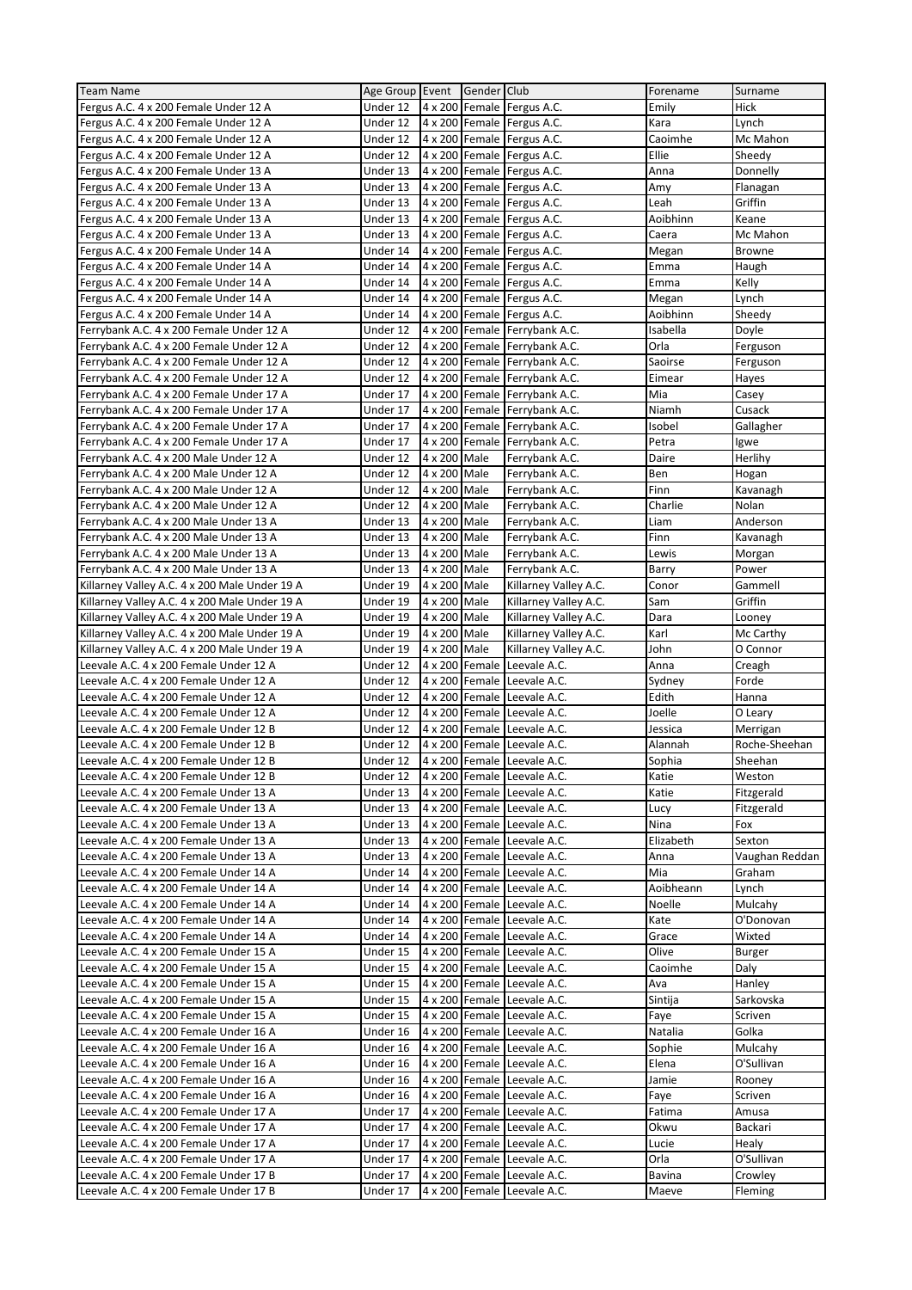| <b>Team Name</b>                                                                 | Age Group Event      |              | Gender Club    |                                                            | Forename        | Surname            |
|----------------------------------------------------------------------------------|----------------------|--------------|----------------|------------------------------------------------------------|-----------------|--------------------|
| Fergus A.C. 4 x 200 Female Under 12 A                                            | Under 12             |              |                | 4 x 200 Female Fergus A.C.                                 | Emily           | Hick               |
| Fergus A.C. 4 x 200 Female Under 12 A                                            | Under 12             |              |                | 4 x 200 Female Fergus A.C.                                 | Kara            | Lynch              |
| Fergus A.C. 4 x 200 Female Under 12 A                                            | Under 12             |              |                | 4 x 200 Female Fergus A.C.                                 | Caoimhe         | Mc Mahon           |
| Fergus A.C. 4 x 200 Female Under 12 A                                            | Under 12             |              |                | 4 x 200 Female Fergus A.C.                                 | Ellie           | Sheedy             |
| Fergus A.C. 4 x 200 Female Under 13 A                                            | Under 13             |              |                | 4 x 200 Female Fergus A.C.                                 | Anna            | Donnelly           |
| Fergus A.C. 4 x 200 Female Under 13 A                                            | Under 13             |              |                | 4 x 200 Female Fergus A.C.                                 | Amy             | Flanagan           |
| Fergus A.C. 4 x 200 Female Under 13 A                                            | Under 13             |              |                | 4 x 200 Female Fergus A.C.                                 | Leah            | Griffin            |
| Fergus A.C. 4 x 200 Female Under 13 A                                            | Under 13             |              |                | 4 x 200 Female Fergus A.C.                                 | Aoibhinn        | Keane              |
| Fergus A.C. 4 x 200 Female Under 13 A                                            | Under 13             |              |                | 4 x 200 Female Fergus A.C.                                 | Caera           | Mc Mahon           |
| Fergus A.C. 4 x 200 Female Under 14 A                                            | Under 14             |              |                | 4 x 200 Female Fergus A.C.                                 | Megan           | <b>Browne</b>      |
| Fergus A.C. 4 x 200 Female Under 14 A                                            | Under 14             |              |                | 4 x 200 Female Fergus A.C.                                 | Emma            | Haugh              |
| Fergus A.C. 4 x 200 Female Under 14 A                                            | Under 14             |              |                | 4 x 200 Female Fergus A.C.                                 | Emma            | Kelly              |
| Fergus A.C. 4 x 200 Female Under 14 A                                            | Under 14             |              |                | 4 x 200 Female Fergus A.C.                                 | Megan           | Lynch              |
| Fergus A.C. 4 x 200 Female Under 14 A                                            | Under 14             |              |                | 4 x 200 Female Fergus A.C.                                 | Aoibhinn        | Sheedy             |
| Ferrybank A.C. 4 x 200 Female Under 12 A                                         | Under 12             |              |                | 4 x 200 Female Ferrybank A.C.                              | Isabella        | Doyle              |
| Ferrybank A.C. 4 x 200 Female Under 12 A                                         | Under 12             |              |                | 4 x 200 Female Ferrybank A.C.                              | Orla            | Ferguson           |
| Ferrybank A.C. 4 x 200 Female Under 12 A                                         | Under 12             |              |                | 4 x 200 Female Ferrybank A.C.                              | Saoirse         | Ferguson           |
| Ferrybank A.C. 4 x 200 Female Under 12 A                                         | Under 12             |              |                | 4 x 200 Female Ferrybank A.C.                              | Eimear          | Hayes              |
| Ferrybank A.C. 4 x 200 Female Under 17 A                                         | Under 17             |              |                | 4 x 200 Female Ferrybank A.C.                              | Mia             | Casey              |
| Ferrybank A.C. 4 x 200 Female Under 17 A                                         | Under 17             |              |                | 4 x 200 Female Ferrybank A.C.                              | Niamh           | Cusack             |
| Ferrybank A.C. 4 x 200 Female Under 17 A                                         | Under 17             |              |                | 4 x 200 Female Ferrybank A.C.                              | Isobel          | Gallagher          |
| Ferrybank A.C. 4 x 200 Female Under 17 A                                         | Under 17             |              | 4 x 200 Female | Ferrybank A.C.                                             | Petra           | lgwe               |
| Ferrybank A.C. 4 x 200 Male Under 12 A                                           | Under 12             | 4 x 200 Male |                | Ferrybank A.C.                                             | Daire           | Herlihy            |
| Ferrybank A.C. 4 x 200 Male Under 12 A                                           | Under 12             | 4 x 200 Male |                | Ferrybank A.C.                                             | Ben             | Hogan              |
| Ferrybank A.C. 4 x 200 Male Under 12 A                                           | Under 12             | 4 x 200 Male |                | Ferrybank A.C.                                             | Finn            | Kavanagh           |
| Ferrybank A.C. 4 x 200 Male Under 12 A                                           | Under 12             | 4 x 200 Male |                | Ferrybank A.C.                                             | Charlie         | Nolan              |
| Ferrybank A.C. 4 x 200 Male Under 13 A                                           | Under 13             | 4 x 200 Male |                | Ferrybank A.C.                                             | Liam            | Anderson           |
| Ferrybank A.C. 4 x 200 Male Under 13 A                                           | Under 13             | 4 x 200 Male |                | Ferrybank A.C.                                             | Finn            | Kavanagh           |
| Ferrybank A.C. 4 x 200 Male Under 13 A                                           | Under 13             | 4 x 200      | Male           | Ferrybank A.C.                                             | Lewis           | Morgan             |
| Ferrybank A.C. 4 x 200 Male Under 13 A                                           | Under 13             | 4 x 200 Male |                | Ferrybank A.C.                                             | Barry           | Power              |
| Killarney Valley A.C. 4 x 200 Male Under 19 A                                    | Under 19             | 4 x 200 Male |                | Killarney Valley A.C.                                      | Conor           | Gammell            |
| Killarney Valley A.C. 4 x 200 Male Under 19 A                                    | Under 19             | 4 x 200 Male |                | Killarney Valley A.C.                                      | Sam             | Griffin            |
| Killarney Valley A.C. 4 x 200 Male Under 19 A                                    | Under 19             | 4 x 200      | Male           | Killarney Valley A.C.                                      | Dara            | Looney             |
| Killarney Valley A.C. 4 x 200 Male Under 19 A                                    | Under 19             | 4 x 200 Male |                | Killarney Valley A.C.                                      | Karl            | Mc Carthy          |
|                                                                                  |                      |              |                |                                                            |                 |                    |
|                                                                                  |                      |              |                |                                                            |                 |                    |
| Killarney Valley A.C. 4 x 200 Male Under 19 A                                    | Under 19             | 4 x 200 Male |                | Killarney Valley A.C.                                      | John            | O Connor           |
| Leevale A.C. 4 x 200 Female Under 12 A                                           | Under 12             |              | 4 x 200 Female | Leevale A.C.                                               | Anna            | Creagh             |
| Leevale A.C. 4 x 200 Female Under 12 A                                           | Under 12             |              | 4 x 200 Female | Leevale A.C.                                               | Sydney          | Forde              |
| Leevale A.C. 4 x 200 Female Under 12 A                                           | Under 12             |              |                | 4 x 200 Female Leevale A.C.                                | Edith           | Hanna              |
| Leevale A.C. 4 x 200 Female Under 12 A                                           | Under 12             |              |                | 4 x 200 Female Leevale A.C.                                | Joelle          | O Leary            |
| Leevale A.C. 4 x 200 Female Under 12 B                                           | Under 12             |              |                | 4 x 200 Female Leevale A.C.                                | Jessica         | Merrigan           |
| Leevale A.C. 4 x 200 Female Under 12 B                                           | Under 12             |              | 4 x 200 Female | Leevale A.C.                                               | Alannah         | Roche-Sheehan      |
| Leevale A.C. 4 x 200 Female Under 12 B                                           | Under 12             |              |                | 4 x 200 Female Leevale A.C.                                | Sophia          | Sheehan            |
| Leevale A.C. 4 x 200 Female Under 12 B                                           | Under 12             |              |                | 4 x 200 Female Leevale A.C.                                | Katie           | Weston             |
| Leevale A.C. 4 x 200 Female Under 13 A                                           | Under 13             |              |                | 4 x 200 Female Leevale A.C.                                | Katie           | Fitzgerald         |
| Leevale A.C. 4 x 200 Female Under 13 A                                           | Under 13             |              |                | 4 x 200 Female Leevale A.C.                                | Lucy            | Fitzgerald         |
| Leevale A.C. 4 x 200 Female Under 13 A                                           | Under 13             |              |                | 4 x 200 Female Leevale A.C.                                | Nina            | Fox                |
| Leevale A.C. 4 x 200 Female Under 13 A                                           | Under 13             |              |                | 4 x 200 Female Leevale A.C.                                | Elizabeth       | Sexton             |
| Leevale A.C. 4 x 200 Female Under 13 A                                           | Under 13             |              |                | 4 x 200 Female Leevale A.C.                                | Anna            | Vaughan Reddan     |
| Leevale A.C. 4 x 200 Female Under 14 A                                           | Under 14             |              |                | 4 x 200 Female Leevale A.C.                                | Mia             | Graham             |
| Leevale A.C. 4 x 200 Female Under 14 A                                           | Under 14             |              |                | 4 x 200 Female Leevale A.C.                                | Aoibheann       | Lynch              |
| Leevale A.C. 4 x 200 Female Under 14 A                                           | Under 14             |              |                | 4 x 200 Female Leevale A.C.                                | Noelle          | Mulcahy            |
| Leevale A.C. 4 x 200 Female Under 14 A                                           | Under 14             |              |                | 4 x 200 Female Leevale A.C.                                | Kate            | O'Donovan          |
| Leevale A.C. 4 x 200 Female Under 14 A                                           | Under 14             |              |                | 4 x 200 Female Leevale A.C.                                | Grace           | Wixted             |
| Leevale A.C. 4 x 200 Female Under 15 A                                           | Under 15             |              |                | 4 x 200 Female Leevale A.C.                                | Olive           | Burger             |
| Leevale A.C. 4 x 200 Female Under 15 A                                           | Under 15             |              |                | 4 x 200 Female Leevale A.C.                                | Caoimhe         | Daly               |
| Leevale A.C. 4 x 200 Female Under 15 A                                           | Under 15             |              |                | 4 x 200 Female Leevale A.C.                                | Ava             | Hanley             |
| Leevale A.C. 4 x 200 Female Under 15 A                                           | Under 15             |              |                | 4 x 200 Female Leevale A.C.                                | Sintija         | Sarkovska          |
| Leevale A.C. 4 x 200 Female Under 15 A                                           | Under 15             |              |                | 4 x 200 Female Leevale A.C.                                | Faye            | Scriven            |
| Leevale A.C. 4 x 200 Female Under 16 A                                           | Under 16             |              |                | 4 x 200 Female Leevale A.C.                                | Natalia         | Golka              |
| Leevale A.C. 4 x 200 Female Under 16 A                                           | Under 16             |              |                | 4 x 200 Female Leevale A.C.                                | Sophie          | Mulcahy            |
| Leevale A.C. 4 x 200 Female Under 16 A                                           | Under 16             |              |                | 4 x 200 Female Leevale A.C.                                | Elena           | O'Sullivan         |
| Leevale A.C. 4 x 200 Female Under 16 A                                           | Under 16             |              |                | 4 x 200 Female Leevale A.C.                                | Jamie           | Rooney             |
| Leevale A.C. 4 x 200 Female Under 16 A                                           | Under 16             |              |                | 4 x 200 Female Leevale A.C.                                | Faye            | Scriven            |
| Leevale A.C. 4 x 200 Female Under 17 A                                           | Under 17             |              |                | 4 x 200 Female Leevale A.C.                                | Fatima          | Amusa              |
| Leevale A.C. 4 x 200 Female Under 17 A                                           | Under 17             |              |                | 4 x 200 Female Leevale A.C.                                | Okwu            | Backari            |
| Leevale A.C. 4 x 200 Female Under 17 A                                           | Under 17             |              |                | 4 x 200 Female Leevale A.C.                                | Lucie           | Healy              |
| Leevale A.C. 4 x 200 Female Under 17 A                                           | Under 17             |              |                | 4 x 200 Female Leevale A.C.                                | Orla            | O'Sullivan         |
| Leevale A.C. 4 x 200 Female Under 17 B<br>Leevale A.C. 4 x 200 Female Under 17 B | Under 17<br>Under 17 |              |                | 4 x 200 Female Leevale A.C.<br>4 x 200 Female Leevale A.C. | Bavina<br>Maeve | Crowley<br>Fleming |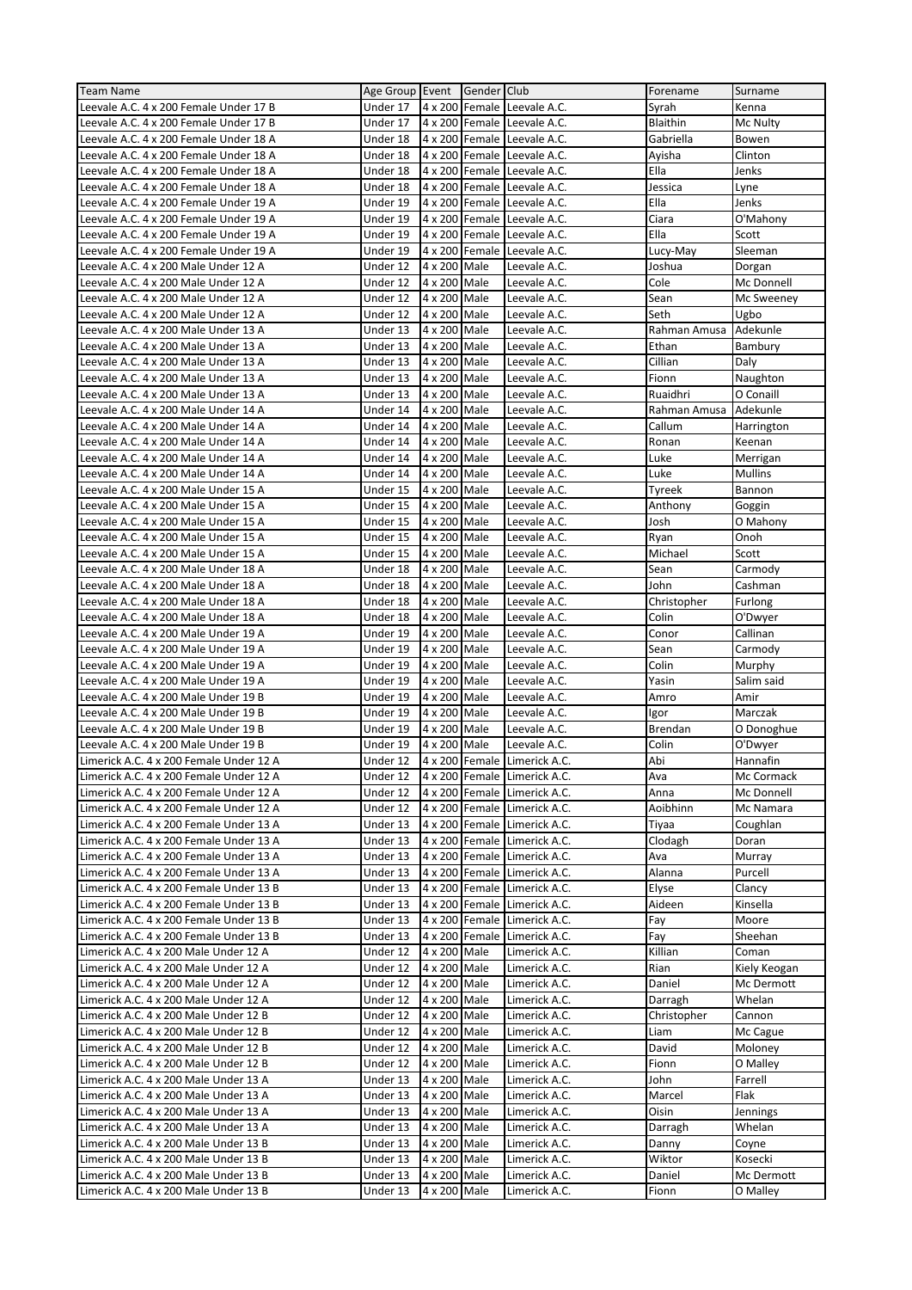| <b>Team Name</b>                                                               | Age Group Event      |                                | Gender Club    |                                | Forename        | Surname                |
|--------------------------------------------------------------------------------|----------------------|--------------------------------|----------------|--------------------------------|-----------------|------------------------|
| Leevale A.C. 4 x 200 Female Under 17 B                                         | Under 17             |                                |                | 4 x 200 Female Leevale A.C.    | Syrah           | Kenna                  |
| Leevale A.C. 4 x 200 Female Under 17 B                                         | Under 17             |                                |                | 4 x 200 Female Leevale A.C.    | Blaithin        | Mc Nulty               |
| Leevale A.C. 4 x 200 Female Under 18 A                                         | Under 18             |                                |                | 4 x 200 Female Leevale A.C.    | Gabriella       | Bowen                  |
| Leevale A.C. 4 x 200 Female Under 18 A                                         | Under 18             |                                |                | 4 x 200 Female Leevale A.C.    | Ayisha          | Clinton                |
|                                                                                |                      |                                |                |                                |                 |                        |
| Leevale A.C. 4 x 200 Female Under 18 A                                         | Under 18             |                                |                | 4 x 200 Female Leevale A.C.    | Ella            | Jenks                  |
| Leevale A.C. 4 x 200 Female Under 18 A                                         | Under 18             |                                | 4 x 200 Female | Leevale A.C.                   | Jessica         | Lyne                   |
| Leevale A.C. 4 x 200 Female Under 19 A                                         | Under 19             |                                |                | 4 x 200 Female Leevale A.C.    | Ella            | Jenks                  |
| Leevale A.C. 4 x 200 Female Under 19 A                                         | Under 19             |                                | 4 x 200 Female | Leevale A.C.                   | Ciara           | O'Mahony               |
| Leevale A.C. 4 x 200 Female Under 19 A                                         | Under 19             |                                | 4 x 200 Female | Leevale A.C.                   | Ella            | Scott                  |
| Leevale A.C. 4 x 200 Female Under 19 A                                         | Under 19             |                                | 4 x 200 Female | Leevale A.C.                   | Lucy-May        | Sleeman                |
| Leevale A.C. 4 x 200 Male Under 12 A                                           | Under 12             | 4 x 200 Male                   |                | Leevale A.C.                   | Joshua          | Dorgan                 |
| Leevale A.C. 4 x 200 Male Under 12 A                                           | Under 12             | $\overline{4 \times 200}$ Male |                | Leevale A.C.                   | Cole            | Mc Donnell             |
| Leevale A.C. 4 x 200 Male Under 12 A                                           | Under 12             | 4 x 200 Male                   |                | Leevale A.C.                   | Sean            | Mc Sweeney             |
| Leevale A.C. 4 x 200 Male Under 12 A                                           | Under 12             | 4 x 200                        | Male           | Leevale A.C.                   | Seth            | Ugbo                   |
| Leevale A.C. 4 x 200 Male Under 13 A                                           | Under 13             | 4 x 200 Male                   |                | Leevale A.C.                   | Rahman Amusa    | Adekunle               |
| Leevale A.C. 4 x 200 Male Under 13 A                                           | Under 13             | 4 x 200 Male                   |                | Leevale A.C.                   | Ethan           | Bambury                |
| Leevale A.C. 4 x 200 Male Under 13 A                                           | Under 13             | 4 x 200 Male                   |                | Leevale A.C.                   | Cillian         | Daly                   |
| Leevale A.C. 4 x 200 Male Under 13 A                                           | Under 13             | 4 x 200 Male                   |                | Leevale A.C.                   | Fionn           | Naughton               |
| Leevale A.C. 4 x 200 Male Under 13 A                                           | Under 13             | 4 x 200 Male                   |                | Leevale A.C.                   | Ruaidhri        | O Conaill              |
|                                                                                |                      |                                |                |                                |                 |                        |
| Leevale A.C. 4 x 200 Male Under 14 A                                           | Under 14             | 4 x 200 Male                   |                | Leevale A.C.                   | Rahman Amusa    | Adekunle               |
| Leevale A.C. 4 x 200 Male Under 14 A                                           | Under 14             | 4 x 200 Male                   |                | Leevale A.C.                   | Callum          | Harrington             |
| Leevale A.C. 4 x 200 Male Under 14 A                                           | Under 14             | 4 x 200 Male                   |                | Leevale A.C.                   | Ronan           | Keenan                 |
| Leevale A.C. 4 x 200 Male Under 14 A                                           | Under 14             | $4 \times 200$ Male            |                | Leevale A.C.                   | Luke            | Merrigan               |
| Leevale A.C. 4 x 200 Male Under 14 A                                           | Under 14             | 4 x 200 Male                   |                | Leevale A.C.                   | Luke            | <b>Mullins</b>         |
| Leevale A.C. 4 x 200 Male Under 15 A                                           | Under 15             | 4 x 200 Male                   |                | Leevale A.C.                   | Tyreek          | Bannon                 |
| Leevale A.C. 4 x 200 Male Under 15 A                                           | Under 15             | 4 x 200 Male                   |                | Leevale A.C.                   | Anthony         | Goggin                 |
| Leevale A.C. 4 x 200 Male Under 15 A                                           | Under 15             | 4 x 200 Male                   |                | Leevale A.C.                   | Josh            | O Mahony               |
| Leevale A.C. 4 x 200 Male Under 15 A                                           | Under 15             | 4 x 200 Male                   |                | Leevale A.C.                   | Ryan            | Onoh                   |
| Leevale A.C. 4 x 200 Male Under 15 A                                           | Under 15             | 4 x 200                        | Male           | Leevale A.C.                   | Michael         | Scott                  |
| Leevale A.C. 4 x 200 Male Under 18 A                                           | Under 18             | 4 x 200 Male                   |                | Leevale A.C.                   | Sean            | Carmody                |
| Leevale A.C. 4 x 200 Male Under 18 A                                           | Under 18             | 4 x 200 Male                   |                | Leevale A.C.                   | John            | Cashman                |
| Leevale A.C. 4 x 200 Male Under 18 A                                           | Under 18             | 4 x 200 Male                   |                | Leevale A.C.                   | Christopher     | Furlong                |
| Leevale A.C. 4 x 200 Male Under 18 A                                           | Under 18             | 4 x 200                        | Male           | Leevale A.C.                   | Colin           | O'Dwyer                |
| Leevale A.C. 4 x 200 Male Under 19 A                                           | Under 19             | 4 x 200 Male                   |                | Leevale A.C.                   | Conor           | Callinan               |
|                                                                                |                      |                                |                |                                |                 |                        |
|                                                                                |                      |                                |                |                                |                 |                        |
| Leevale A.C. 4 x 200 Male Under 19 A                                           | Under 19             | 4 x 200 Male                   |                | Leevale A.C.                   | Sean            | Carmody                |
| Leevale A.C. 4 x 200 Male Under 19 A                                           | Under 19             | 4 x 200 Male                   |                | Leevale A.C.                   | Colin           | Murphy                 |
| Leevale A.C. 4 x 200 Male Under 19 A                                           | Under 19             | 4 x 200                        | Male           | Leevale A.C.                   | Yasin           | Salim said             |
| Leevale A.C. 4 x 200 Male Under 19 B                                           | Under 19             | 4 x 200 Male                   |                | Leevale A.C.                   | Amro            | Amir                   |
| Leevale A.C. 4 x 200 Male Under 19 B                                           | Under 19             | 4 x 200 Male                   |                | Leevale A.C.                   | Igor            | Marczak                |
| Leevale A.C. 4 x 200 Male Under 19 B                                           | Under 19             | 4 x 200                        | Male           | Leevale A.C.                   | Brendan         | O Donoghue             |
| Leevale A.C. 4 x 200 Male Under 19 B                                           | Under 19             | 4 x 200 Male                   |                | Leevale A.C.                   | Colin           | O'Dwyer                |
| Limerick A.C. 4 x 200 Female Under 12 A                                        | Under 12             |                                |                | 4 x 200 Female Limerick A.C.   | Abi             | Hannafin               |
| Limerick A.C. 4 x 200 Female Under 12 A                                        | Under 12             |                                |                | 4 x 200 Female Limerick A.C.   | Ava             | Mc Cormack             |
| Limerick A.C. 4 x 200 Female Under 12 A                                        | Under 12             |                                |                | 4 x 200 Female Limerick A.C.   | Anna            | Mc Donnell             |
| Limerick A.C. 4 x 200 Female Under 12 A                                        | Under 12             |                                |                | 4 x 200 Female Limerick A.C.   | Aoibhinn        | Mc Namara              |
|                                                                                | Under 13             |                                |                |                                |                 |                        |
| Limerick A.C. 4 x 200 Female Under 13 A                                        |                      |                                |                | 4 x 200 Female Limerick A.C.   | Tiyaa           | Coughlan               |
| Limerick A.C. 4 x 200 Female Under 13 A                                        | Under 13             |                                |                | 4 x 200 Female Limerick A.C.   | Clodagh         | Doran                  |
| Limerick A.C. 4 x 200 Female Under 13 A                                        | Under 13             |                                |                | 4 x 200 Female Limerick A.C.   | Ava             | Murray                 |
| Limerick A.C. 4 x 200 Female Under 13 A                                        | Under 13             |                                |                | 4 x 200 Female Limerick A.C.   | Alanna          | Purcell                |
| Limerick A.C. 4 x 200 Female Under 13 B                                        | Under 13             |                                |                | 4 x 200 Female Limerick A.C.   | Elyse           | Clancy                 |
| Limerick A.C. 4 x 200 Female Under 13 B                                        | Under 13             |                                |                | 4 x 200 Female Limerick A.C.   | Aideen          | Kinsella               |
| Limerick A.C. 4 x 200 Female Under 13 B                                        | Under 13             |                                |                | 4 x 200 Female Limerick A.C.   | Fay             | Moore                  |
| Limerick A.C. 4 x 200 Female Under 13 B                                        | Under 13             |                                | 4 x 200 Female | Limerick A.C.                  | Fay             | Sheehan                |
| Limerick A.C. 4 x 200 Male Under 12 A                                          | Under 12             | 4 x 200 Male                   |                | Limerick A.C.                  | Killian         | Coman                  |
| Limerick A.C. 4 x 200 Male Under 12 A                                          | Under 12             | 4 x 200 Male                   |                | Limerick A.C.                  | Rian            | Kiely Keogan           |
| Limerick A.C. 4 x 200 Male Under 12 A                                          | Under 12             | 4 x 200 Male                   |                | Limerick A.C.                  | Daniel          | Mc Dermott             |
| Limerick A.C. 4 x 200 Male Under 12 A                                          | Under 12             | 4 x 200 Male                   |                | Limerick A.C.                  | Darragh         | Whelan                 |
| Limerick A.C. 4 x 200 Male Under 12 B                                          | Under 12             | 4 x 200 Male                   |                | Limerick A.C.                  | Christopher     | Cannon                 |
| Limerick A.C. 4 x 200 Male Under 12 B                                          | Under 12             | 4 x 200 Male                   |                | Limerick A.C.                  | Liam            | Mc Cague               |
| Limerick A.C. 4 x 200 Male Under 12 B                                          | Under 12             | 4 x 200 Male                   |                | Limerick A.C.                  | David           | Moloney                |
| Limerick A.C. 4 x 200 Male Under 12 B                                          | Under 12             | 4 x 200 Male                   |                | Limerick A.C.                  | Fionn           | O Malley               |
| Limerick A.C. 4 x 200 Male Under 13 A                                          | Under 13             | 4 x 200 Male                   |                | Limerick A.C.                  | John            | Farrell                |
| Limerick A.C. 4 x 200 Male Under 13 A                                          | Under 13             | 4 x 200 Male                   |                | Limerick A.C.                  | Marcel          | Flak                   |
|                                                                                |                      |                                |                |                                |                 |                        |
| Limerick A.C. 4 x 200 Male Under 13 A                                          | Under 13             | 4 x 200 Male                   |                | Limerick A.C.                  | Oisin           | Jennings               |
| Limerick A.C. 4 x 200 Male Under 13 A                                          | Under 13             | 4 x 200 Male                   |                | Limerick A.C.                  | Darragh         | Whelan                 |
| Limerick A.C. 4 x 200 Male Under 13 B                                          | Under 13             | 4 x 200 Male                   |                | Limerick A.C.                  | Danny           | Coyne                  |
| Limerick A.C. 4 x 200 Male Under 13 B                                          | Under 13             | 4 x 200 Male                   |                | Limerick A.C.                  | Wiktor          | Kosecki                |
| Limerick A.C. 4 x 200 Male Under 13 B<br>Limerick A.C. 4 x 200 Male Under 13 B | Under 13<br>Under 13 | 4 x 200 Male<br>4 x 200 Male   |                | Limerick A.C.<br>Limerick A.C. | Daniel<br>Fionn | Mc Dermott<br>O Malley |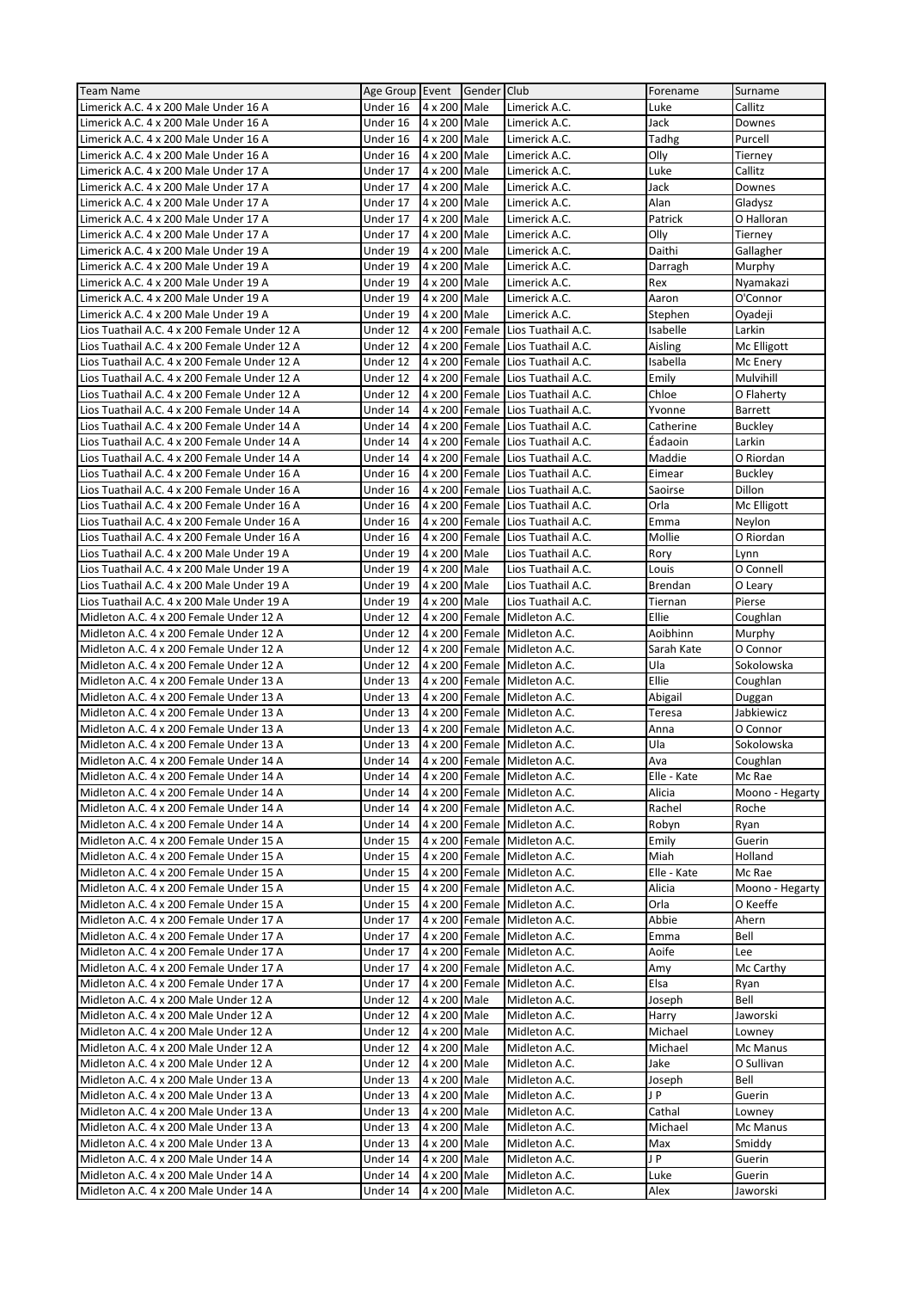| <b>Team Name</b>                                                                             | Age Group Event Gender Club |                              |                |                                                         | Forename            | Surname                 |
|----------------------------------------------------------------------------------------------|-----------------------------|------------------------------|----------------|---------------------------------------------------------|---------------------|-------------------------|
| Limerick A.C. 4 x 200 Male Under 16 A                                                        | Under 16                    | 4 x 200 Male                 |                | Limerick A.C.                                           | Luke                | Callitz                 |
| Limerick A.C. 4 x 200 Male Under 16 A                                                        | Under 16                    | 4 x 200 Male                 |                | Limerick A.C.                                           | Jack                | Downes                  |
| Limerick A.C. 4 x 200 Male Under 16 A                                                        | Under 16                    | 4 x 200 Male                 |                | Limerick A.C.                                           | Tadhg               | Purcell                 |
| Limerick A.C. 4 x 200 Male Under 16 A                                                        | Under 16                    | 4 x 200 Male                 |                | Limerick A.C.                                           | Olly                | Tierney                 |
| Limerick A.C. 4 x 200 Male Under 17 A                                                        | Under 17                    | 4 x 200 Male                 |                | Limerick A.C.                                           | Luke                | Callitz                 |
| Limerick A.C. 4 x 200 Male Under 17 A                                                        | Under 17                    | 4 x 200 Male                 |                | Limerick A.C.                                           | Jack                | Downes                  |
| Limerick A.C. 4 x 200 Male Under 17 A                                                        | Under 17                    | 4 x 200 Male                 |                | Limerick A.C.                                           | Alan                | Gladysz                 |
| Limerick A.C. 4 x 200 Male Under 17 A                                                        | Under 17                    | 4 x 200 Male                 |                | Limerick A.C.                                           | Patrick             | O Halloran              |
| Limerick A.C. 4 x 200 Male Under 17 A                                                        | Under 17                    | 4 x 200 Male                 |                | Limerick A.C.                                           | Olly                | Tierney                 |
| Limerick A.C. 4 x 200 Male Under 19 A                                                        | Under 19                    | 4 x 200                      | Male           | Limerick A.C.                                           | Daithi              | Gallagher               |
| Limerick A.C. 4 x 200 Male Under 19 A                                                        | Under 19                    | 4 x 200 Male                 |                | Limerick A.C.                                           | Darragh             | Murphy                  |
| Limerick A.C. 4 x 200 Male Under 19 A                                                        | Under 19                    | $4 \times 200$ Male          |                | Limerick A.C.                                           | Rex                 | Nyamakazi               |
| Limerick A.C. 4 x 200 Male Under 19 A                                                        | Under 19                    | 4 x 200 Male                 |                | Limerick A.C.                                           | Aaron               | O'Connor                |
| Limerick A.C. 4 x 200 Male Under 19 A                                                        | Under 19                    | 4 x 200 Male                 |                | Limerick A.C.                                           | Stephen             | Oyadeji                 |
| Lios Tuathail A.C. 4 x 200 Female Under 12 A<br>Lios Tuathail A.C. 4 x 200 Female Under 12 A | Under 12<br>Under 12        |                              | 4 x 200 Female | Lios Tuathail A.C.<br>4 x 200 Female Lios Tuathail A.C. | Isabelle<br>Aisling | Larkin                  |
| Lios Tuathail A.C. 4 x 200 Female Under 12 A                                                 | Under 12                    |                              | 4 x 200 Female | Lios Tuathail A.C.                                      | Isabella            | Mc Elligott<br>Mc Enery |
| Lios Tuathail A.C. 4 x 200 Female Under 12 A                                                 | Under 12                    |                              | 4 x 200 Female | Lios Tuathail A.C.                                      | Emily               | Mulvihill               |
| Lios Tuathail A.C. 4 x 200 Female Under 12 A                                                 | Under 12                    |                              |                | 4 x 200 Female Lios Tuathail A.C.                       | Chloe               | O Flaherty              |
| Lios Tuathail A.C. 4 x 200 Female Under 14 A                                                 | Under 14                    |                              | 4 x 200 Female | Lios Tuathail A.C.                                      | Yvonne              | <b>Barrett</b>          |
| Lios Tuathail A.C. 4 x 200 Female Under 14 A                                                 | Under 14                    |                              | 4 x 200 Female | Lios Tuathail A.C.                                      | Catherine           | <b>Buckley</b>          |
| Lios Tuathail A.C. 4 x 200 Female Under 14 A                                                 | Under 14                    |                              | 4 x 200 Female | Lios Tuathail A.C.                                      | Éadaoin             | Larkin                  |
| Lios Tuathail A.C. 4 x 200 Female Under 14 A                                                 | Under 14                    |                              | 4 x 200 Female | Lios Tuathail A.C.                                      | Maddie              | O Riordan               |
| Lios Tuathail A.C. 4 x 200 Female Under 16 A                                                 | Under 16                    |                              | 4 x 200 Female | Lios Tuathail A.C.                                      | Eimear              | <b>Buckley</b>          |
| Lios Tuathail A.C. 4 x 200 Female Under 16 A                                                 | Under 16                    |                              | 4 x 200 Female | Lios Tuathail A.C.                                      | Saoirse             | Dillon                  |
| Lios Tuathail A.C. 4 x 200 Female Under 16 A                                                 | Under 16                    |                              | 4 x 200 Female | Lios Tuathail A.C.                                      | Orla                | Mc Elligott             |
| Lios Tuathail A.C. 4 x 200 Female Under 16 A                                                 | Under 16                    |                              | 4 x 200 Female | Lios Tuathail A.C.                                      | Emma                | Neylon                  |
| Lios Tuathail A.C. 4 x 200 Female Under 16 A                                                 | Under 16                    |                              | 4 x 200 Female | Lios Tuathail A.C.                                      | Mollie              | O Riordan               |
| Lios Tuathail A.C. 4 x 200 Male Under 19 A                                                   | Under 19                    | 4 x 200 Male                 |                | Lios Tuathail A.C.                                      | Rory                | Lynn                    |
| Lios Tuathail A.C. 4 x 200 Male Under 19 A                                                   | Under 19                    | 4 x 200 Male                 |                | Lios Tuathail A.C.                                      | Louis               | O Connell               |
| Lios Tuathail A.C. 4 x 200 Male Under 19 A                                                   | Under 19                    | 4 x 200 Male                 |                | Lios Tuathail A.C.                                      | <b>Brendan</b>      | O Leary                 |
| Lios Tuathail A.C. 4 x 200 Male Under 19 A                                                   | Under 19                    | 4 x 200 Male                 |                | Lios Tuathail A.C.                                      | Tiernan             | Pierse                  |
| Midleton A.C. 4 x 200 Female Under 12 A                                                      | Under 12                    |                              | 4 x 200 Female | Midleton A.C.                                           | Ellie               | Coughlan                |
| Midleton A.C. 4 x 200 Female Under 12 A                                                      | Under 12                    |                              |                | 4 x 200 Female Midleton A.C.                            | Aoibhinn            | Murphy                  |
|                                                                                              |                             |                              |                |                                                         |                     |                         |
| Midleton A.C. 4 x 200 Female Under 12 A                                                      | Under 12                    |                              | 4 x 200 Female | Midleton A.C.                                           | Sarah Kate          | O Connor                |
| Midleton A.C. 4 x 200 Female Under 12 A                                                      | Under 12                    |                              |                | 4 x 200 Female Midleton A.C.                            | Ula                 | Sokolowska              |
| Midleton A.C. 4 x 200 Female Under 13 A                                                      | Under 13                    |                              |                | 4 x 200 Female Midleton A.C.                            | Ellie               | Coughlan                |
| Midleton A.C. 4 x 200 Female Under 13 A                                                      | Under 13                    |                              |                | 4 x 200 Female Midleton A.C.                            | Abigail             | Duggan                  |
| Midleton A.C. 4 x 200 Female Under 13 A                                                      | Under 13                    |                              |                | 4 x 200 Female Midleton A.C.                            | Teresa              | Jabkiewicz              |
| Midleton A.C. 4 x 200 Female Under 13 A                                                      | Under 13                    | 4 x 200                      | Female         | Midleton A.C.                                           | Anna                | O Connor                |
| Midleton A.C. 4 x 200 Female Under 13 A                                                      | Under 13                    |                              | 4 x 200 Female | Midleton A.C.                                           | Ula                 | Sokolowska              |
| Midleton A.C. 4 x 200 Female Under 14 A                                                      | Under 14                    |                              |                | 4 x 200 Female Midleton A.C.                            | Ava                 | Coughlan                |
| Midleton A.C. 4 x 200 Female Under 14 A                                                      | Under 14                    |                              |                | 4 x 200 Female Midleton A.C.                            | Elle - Kate         | Mc Rae                  |
| Midleton A.C. 4 x 200 Female Under 14 A                                                      | Under 14                    |                              |                | 4 x 200 Female Midleton A.C.                            | Alicia              | Moono - Hegarty         |
| Midleton A.C. 4 x 200 Female Under 14 A                                                      | Under 14                    |                              |                | 4 x 200 Female Midleton A.C.                            | Rachel              | Roche                   |
| Midleton A.C. 4 x 200 Female Under 14 A                                                      | Under 14                    |                              |                | 4 x 200 Female Midleton A.C.                            | Robyn               | Ryan                    |
| Midleton A.C. 4 x 200 Female Under 15 A                                                      | Under 15                    |                              |                | 4 x 200 Female Midleton A.C.                            | Emily               | Guerin                  |
| Midleton A.C. 4 x 200 Female Under 15 A                                                      | Under 15                    |                              |                | 4 x 200 Female Midleton A.C.                            | Miah                | Holland                 |
| Midleton A.C. 4 x 200 Female Under 15 A                                                      | Under 15                    |                              |                | 4 x 200 Female Midleton A.C.                            | Elle - Kate         | Mc Rae                  |
| Midleton A.C. 4 x 200 Female Under 15 A                                                      | Under 15                    |                              |                | 4 x 200 Female Midleton A.C.                            | Alicia              | Moono - Hegarty         |
| Midleton A.C. 4 x 200 Female Under 15 A                                                      | Under 15                    |                              |                | 4 x 200 Female Midleton A.C.                            | Orla                | O Keeffe                |
| Midleton A.C. 4 x 200 Female Under 17 A                                                      | Under 17                    |                              |                | 4 x 200 Female Midleton A.C.                            | Abbie               | Ahern                   |
| Midleton A.C. 4 x 200 Female Under 17 A                                                      | Under 17                    |                              |                | 4 x 200 Female Midleton A.C.                            | Emma                | Bell                    |
| Midleton A.C. 4 x 200 Female Under 17 A                                                      | Under 17                    |                              |                | 4 x 200 Female Midleton A.C.                            | Aoife               | Lee                     |
| Midleton A.C. 4 x 200 Female Under 17 A                                                      | Under 17                    |                              | 4 x 200 Female | Midleton A.C.                                           | Amy                 | Mc Carthy               |
| Midleton A.C. 4 x 200 Female Under 17 A                                                      | Under 17                    |                              | 4 x 200 Female | Midleton A.C.                                           | Elsa                | Ryan<br>Bell            |
| Midleton A.C. 4 x 200 Male Under 12 A<br>Midleton A.C. 4 x 200 Male Under 12 A               | Under 12<br>Under 12        | 4 x 200 Male<br>4 x 200 Male |                | Midleton A.C.<br>Midleton A.C.                          | Joseph<br>Harry     | Jaworski                |
| Midleton A.C. 4 x 200 Male Under 12 A                                                        | Under 12                    | 4 x 200 Male                 |                | Midleton A.C.                                           | Michael             | Lowney                  |
| Midleton A.C. 4 x 200 Male Under 12 A                                                        | Under 12                    | 4 x 200 Male                 |                | Midleton A.C.                                           | Michael             | Mc Manus                |
| Midleton A.C. 4 x 200 Male Under 12 A                                                        | Under 12                    | 4 x 200 Male                 |                | Midleton A.C.                                           | Jake                | O Sullivan              |
| Midleton A.C. 4 x 200 Male Under 13 A                                                        | Under 13                    | 4 x 200 Male                 |                | Midleton A.C.                                           | Joseph              | Bell                    |
| Midleton A.C. 4 x 200 Male Under 13 A                                                        | Under 13                    | 4 x 200 Male                 |                | Midleton A.C.                                           | J P                 | Guerin                  |
| Midleton A.C. 4 x 200 Male Under 13 A                                                        | Under 13                    | 4 x 200 Male                 |                | Midleton A.C.                                           | Cathal              | Lowney                  |
| Midleton A.C. 4 x 200 Male Under 13 A                                                        | Under 13                    | 4 x 200 Male                 |                | Midleton A.C.                                           | Michael             | Mc Manus                |
| Midleton A.C. 4 x 200 Male Under 13 A                                                        | Under 13                    | 4 x 200 Male                 |                | Midleton A.C.                                           | Max                 | Smiddy                  |
| Midleton A.C. 4 x 200 Male Under 14 A                                                        | Under 14                    | 4 x 200 Male                 |                | Midleton A.C.                                           | J P                 | Guerin                  |
| Midleton A.C. 4 x 200 Male Under 14 A                                                        | Under 14                    | 4 x 200 Male                 |                | Midleton A.C.                                           | Luke                | Guerin                  |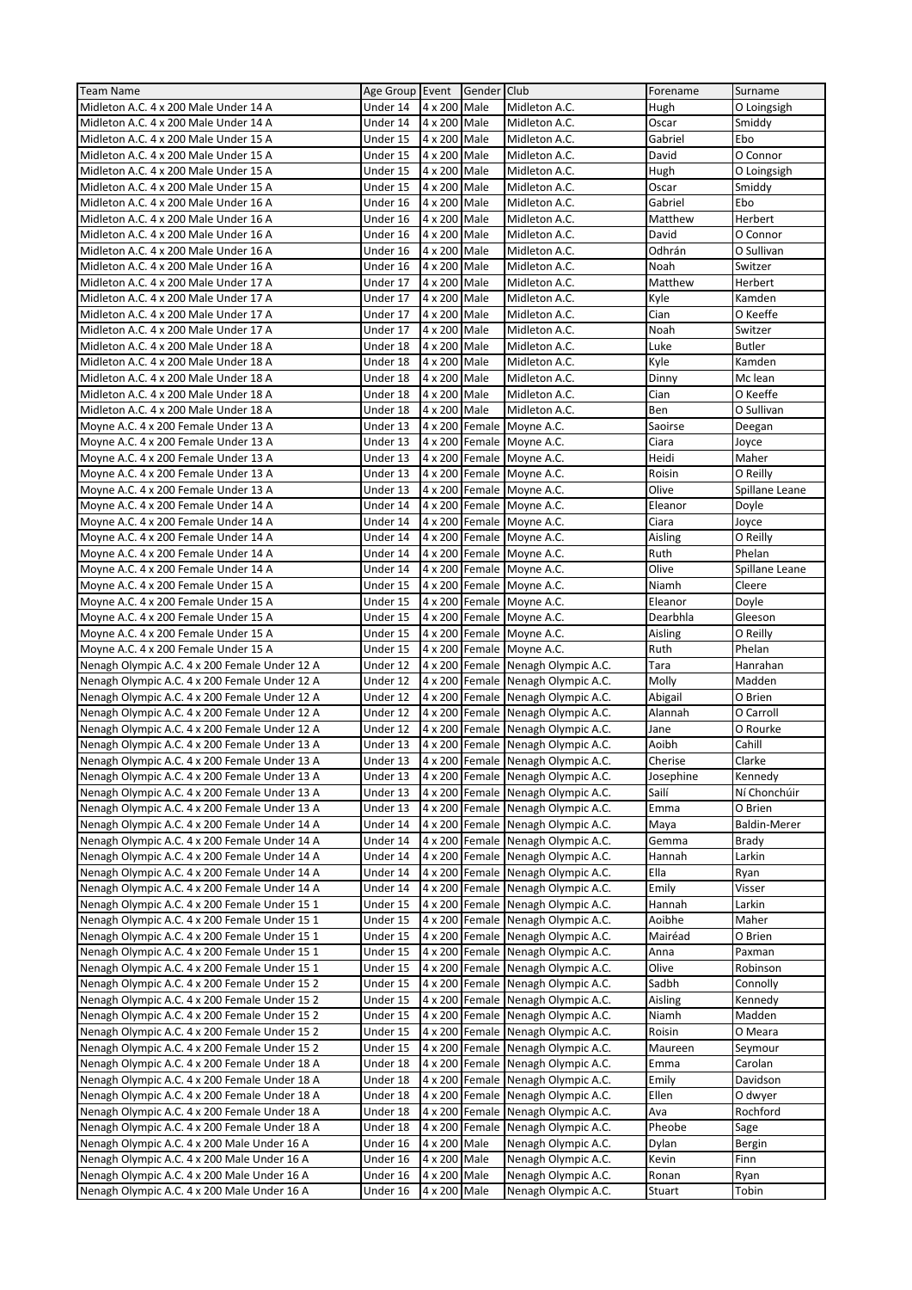| <b>Team Name</b>                              | Age Group Event |              | Gender Club    |                                    | Forename  | Surname             |
|-----------------------------------------------|-----------------|--------------|----------------|------------------------------------|-----------|---------------------|
| Midleton A.C. 4 x 200 Male Under 14 A         | Under 14        | 4 x 200 Male |                | Midleton A.C.                      | Hugh      | O Loingsigh         |
| Midleton A.C. 4 x 200 Male Under 14 A         | Under 14        | 4 x 200 Male |                | Midleton A.C.                      | Oscar     | Smiddy              |
| Midleton A.C. 4 x 200 Male Under 15 A         | Under 15        | 4 x 200 Male |                | Midleton A.C.                      | Gabriel   | Ebo                 |
| Midleton A.C. 4 x 200 Male Under 15 A         |                 | 4 x 200 Male |                | Midleton A.C.                      |           | O Connor            |
|                                               | Under 15        |              |                |                                    | David     |                     |
| Midleton A.C. 4 x 200 Male Under 15 A         | Under 15        | 4 x 200 Male |                | Midleton A.C.                      | Hugh      | O Loingsigh         |
| Midleton A.C. 4 x 200 Male Under 15 A         | Under 15        | 4 x 200 Male |                | Midleton A.C.                      | Oscar     | Smiddy              |
| Midleton A.C. 4 x 200 Male Under 16 A         | Under 16        | 4 x 200 Male |                | Midleton A.C.                      | Gabriel   | Ebo                 |
| Midleton A.C. 4 x 200 Male Under 16 A         | Under 16        | 4 x 200 Male |                | Midleton A.C.                      | Matthew   | Herbert             |
| Midleton A.C. 4 x 200 Male Under 16 A         | Under 16        | 4 x 200 Male |                | Midleton A.C.                      | David     | O Connor            |
| Midleton A.C. 4 x 200 Male Under 16 A         | Under 16        | 4 x 200 Male |                | Midleton A.C.                      | Odhrán    | O Sullivan          |
| Midleton A.C. 4 x 200 Male Under 16 A         | Under 16        | 4 x 200 Male |                | Midleton A.C.                      | Noah      | Switzer             |
| Midleton A.C. 4 x 200 Male Under 17 A         | Under 17        | 4 x 200 Male |                | Midleton A.C.                      | Matthew   | Herbert             |
| Midleton A.C. 4 x 200 Male Under 17 A         | Under 17        | 4 x 200 Male |                | Midleton A.C.                      | Kyle      | Kamden              |
| Midleton A.C. 4 x 200 Male Under 17 A         | Under 17        | 4 x 200 Male |                | Midleton A.C.                      | Cian      | O Keeffe            |
| Midleton A.C. 4 x 200 Male Under 17 A         | Under 17        | 4 x 200 Male |                | Midleton A.C.                      | Noah      | Switzer             |
| Midleton A.C. 4 x 200 Male Under 18 A         | Under 18        | 4 x 200 Male |                | Midleton A.C.                      | Luke      | <b>Butler</b>       |
|                                               |                 |              |                | Midleton A.C.                      |           | Kamden              |
| Midleton A.C. 4 x 200 Male Under 18 A         | Under 18        | 4 x 200 Male |                |                                    | Kyle      |                     |
| Midleton A.C. 4 x 200 Male Under 18 A         | Under 18        | 4 x 200 Male |                | Midleton A.C.                      | Dinny     | Mc lean             |
| Midleton A.C. 4 x 200 Male Under 18 A         | Under 18        | 4 x 200 Male |                | Midleton A.C.                      | Cian      | O Keeffe            |
| Midleton A.C. 4 x 200 Male Under 18 A         | Under 18        | 4 x 200 Male |                | Midleton A.C.                      | Ben       | O Sullivan          |
| Moyne A.C. 4 x 200 Female Under 13 A          | Under 13        |              |                | 4 x 200 Female Moyne A.C.          | Saoirse   | Deegan              |
| Moyne A.C. 4 x 200 Female Under 13 A          | Under 13        |              |                | 4 x 200 Female Moyne A.C.          | Ciara     | Joyce               |
| Moyne A.C. 4 x 200 Female Under 13 A          | Under 13        |              |                | 4 x 200 Female Moyne A.C.          | Heidi     | Maher               |
| Moyne A.C. 4 x 200 Female Under 13 A          | Under 13        |              |                | 4 x 200 Female Moyne A.C.          | Roisin    | O Reilly            |
| Moyne A.C. 4 x 200 Female Under 13 A          | Under 13        |              |                | 4 x 200 Female Moyne A.C.          | Olive     | Spillane Leane      |
| Moyne A.C. 4 x 200 Female Under 14 A          | Under 14        |              |                | 4 x 200 Female Movne A.C.          | Eleanor   | Doyle               |
| Moyne A.C. 4 x 200 Female Under 14 A          | Under 14        |              |                | 4 x 200 Female Moyne A.C.          | Ciara     | Joyce               |
| Moyne A.C. 4 x 200 Female Under 14 A          | Under 14        |              |                | 4 x 200 Female Moyne A.C.          | Aisling   | O Reilly            |
| Moyne A.C. 4 x 200 Female Under 14 A          | Under 14        |              |                | 4 x 200 Female Moyne A.C.          | Ruth      | Phelan              |
|                                               |                 |              |                |                                    |           |                     |
| Moyne A.C. 4 x 200 Female Under 14 A          | Under 14        |              |                | 4 x 200 Female Moyne A.C.          | Olive     | Spillane Leane      |
| Moyne A.C. 4 x 200 Female Under 15 A          | Under 15        |              |                | 4 x 200 Female Moyne A.C.          | Niamh     | Cleere              |
| Moyne A.C. 4 x 200 Female Under 15 A          | Under 15        |              |                | 4 x 200 Female Moyne A.C.          | Eleanor   | Doyle               |
| Moyne A.C. 4 x 200 Female Under 15 A          | Under 15        |              |                | 4 x 200 Female Moyne A.C.          | Dearbhla  | Gleeson             |
| Moyne A.C. 4 x 200 Female Under 15 A          | Under 15        |              |                | 4 x 200 Female Moyne A.C.          | Aisling   | O Reilly            |
| Moyne A.C. 4 x 200 Female Under 15 A          | Under 15        |              |                | 4 x 200 Female Moyne A.C.          | Ruth      | Phelan              |
| Nenagh Olympic A.C. 4 x 200 Female Under 12 A | Under 12        |              |                | 4 x 200 Female Nenagh Olympic A.C. | Tara      | Hanrahan            |
| Nenagh Olympic A.C. 4 x 200 Female Under 12 A | Under 12        |              |                | 4 x 200 Female Nenagh Olympic A.C. | Molly     | Madden              |
| Nenagh Olympic A.C. 4 x 200 Female Under 12 A | Under 12        |              |                | 4 x 200 Female Nenagh Olympic A.C. | Abigail   | O Brien             |
| Nenagh Olympic A.C. 4 x 200 Female Under 12 A | Under 12        |              |                | 4 x 200 Female Nenagh Olympic A.C. | Alannah   | O Carroll           |
| Nenagh Olympic A.C. 4 x 200 Female Under 12 A | Under 12        |              |                | 4 x 200 Female Nenagh Olympic A.C. | Jane      | O Rourke            |
| Nenagh Olympic A.C. 4 x 200 Female Under 13 A | Under 13        |              |                | 4 x 200 Female Nenagh Olympic A.C. | Aoibh     | Cahill              |
| Nenagh Olympic A.C. 4 x 200 Female Under 13 A | Under 13        |              |                | 4 x 200 Female Nenagh Olympic A.C. | Cherise   | Clarke              |
|                                               |                 |              |                |                                    |           |                     |
| Nenagh Olympic A.C. 4 x 200 Female Under 13 A | Under 13        |              |                | 4 x 200 Female Nenagh Olympic A.C. | Josephine | Kennedy             |
| Nenagh Olympic A.C. 4 x 200 Female Under 13 A | Under 13        |              |                | 4 x 200 Female Nenagh Olympic A.C. | Sailí     | Ní Chonchúir        |
| Nenagh Olympic A.C. 4 x 200 Female Under 13 A | Under 13        |              |                | 4 x 200 Female Nenagh Olympic A.C. | Emma      | O Brien             |
| Nenagh Olympic A.C. 4 x 200 Female Under 14 A | Under 14        |              |                | 4 x 200 Female Nenagh Olympic A.C. | Maya      | <b>Baldin-Merer</b> |
| Nenagh Olympic A.C. 4 x 200 Female Under 14 A | Under 14        |              |                | 4 x 200 Female Nenagh Olympic A.C. | Gemma     | <b>Brady</b>        |
| Nenagh Olympic A.C. 4 x 200 Female Under 14 A | Under 14        |              |                | 4 x 200 Female Nenagh Olympic A.C. | Hannah    | Larkin              |
| Nenagh Olympic A.C. 4 x 200 Female Under 14 A | Under 14        |              |                | 4 x 200 Female Nenagh Olympic A.C. | Ella      | Ryan                |
| Nenagh Olympic A.C. 4 x 200 Female Under 14 A | Under 14        |              |                | 4 x 200 Female Nenagh Olympic A.C. | Emily     | Visser              |
| Nenagh Olympic A.C. 4 x 200 Female Under 15 1 | Under 15        |              |                | 4 x 200 Female Nenagh Olympic A.C. | Hannah    | Larkin              |
| Nenagh Olympic A.C. 4 x 200 Female Under 15 1 | Under 15        |              |                | 4 x 200 Female Nenagh Olympic A.C. | Aoibhe    | Maher               |
| Nenagh Olympic A.C. 4 x 200 Female Under 15 1 | Under 15        |              |                | 4 x 200 Female Nenagh Olympic A.C. | Mairéad   | O Brien             |
| Nenagh Olympic A.C. 4 x 200 Female Under 15 1 | Under 15        |              |                | 4 x 200 Female Nenagh Olympic A.C. | Anna      | Paxman              |
| Nenagh Olympic A.C. 4 x 200 Female Under 15 1 | Under 15        |              |                | 4 x 200 Female Nenagh Olympic A.C. | Olive     | Robinson            |
| Nenagh Olympic A.C. 4 x 200 Female Under 15 2 | Under 15        |              |                | 4 x 200 Female Nenagh Olympic A.C. | Sadbh     | Connolly            |
|                                               |                 |              |                |                                    |           |                     |
| Nenagh Olympic A.C. 4 x 200 Female Under 15 2 | Under 15        |              |                | 4 x 200 Female Nenagh Olympic A.C. | Aisling   | Kennedy             |
| Nenagh Olympic A.C. 4 x 200 Female Under 15 2 | Under 15        |              |                | 4 x 200 Female Nenagh Olympic A.C. | Niamh     | Madden              |
| Nenagh Olympic A.C. 4 x 200 Female Under 15 2 | Under 15        |              | 4 x 200 Female | Nenagh Olympic A.C.                | Roisin    | O Meara             |
| Nenagh Olympic A.C. 4 x 200 Female Under 15 2 | Under 15        |              |                | 4 x 200 Female Nenagh Olympic A.C. | Maureen   | Seymour             |
| Nenagh Olympic A.C. 4 x 200 Female Under 18 A | Under 18        |              |                | 4 x 200 Female Nenagh Olympic A.C. | Emma      | Carolan             |
| Nenagh Olympic A.C. 4 x 200 Female Under 18 A | Under 18        |              | 4 x 200 Female | Nenagh Olympic A.C.                | Emily     | Davidson            |
| Nenagh Olympic A.C. 4 x 200 Female Under 18 A | Under 18        |              |                | 4 x 200 Female Nenagh Olympic A.C. | Ellen     | O dwyer             |
| Nenagh Olympic A.C. 4 x 200 Female Under 18 A | Under 18        |              | 4 x 200 Female | Nenagh Olympic A.C.                | Ava       | Rochford            |
| Nenagh Olympic A.C. 4 x 200 Female Under 18 A | Under 18        |              | 4 x 200 Female | Nenagh Olympic A.C.                | Pheobe    | Sage                |
| Nenagh Olympic A.C. 4 x 200 Male Under 16 A   | Under 16        | 4 x 200 Male |                | Nenagh Olympic A.C.                | Dylan     | Bergin              |
| Nenagh Olympic A.C. 4 x 200 Male Under 16 A   | Under 16        | 4 x 200 Male |                | Nenagh Olympic A.C.                | Kevin     | Finn                |
| Nenagh Olympic A.C. 4 x 200 Male Under 16 A   | Under 16        | 4 x 200 Male |                | Nenagh Olympic A.C.                | Ronan     | Ryan                |
| Nenagh Olympic A.C. 4 x 200 Male Under 16 A   | Under 16        | 4 x 200 Male |                | Nenagh Olympic A.C.                | Stuart    | Tobin               |
|                                               |                 |              |                |                                    |           |                     |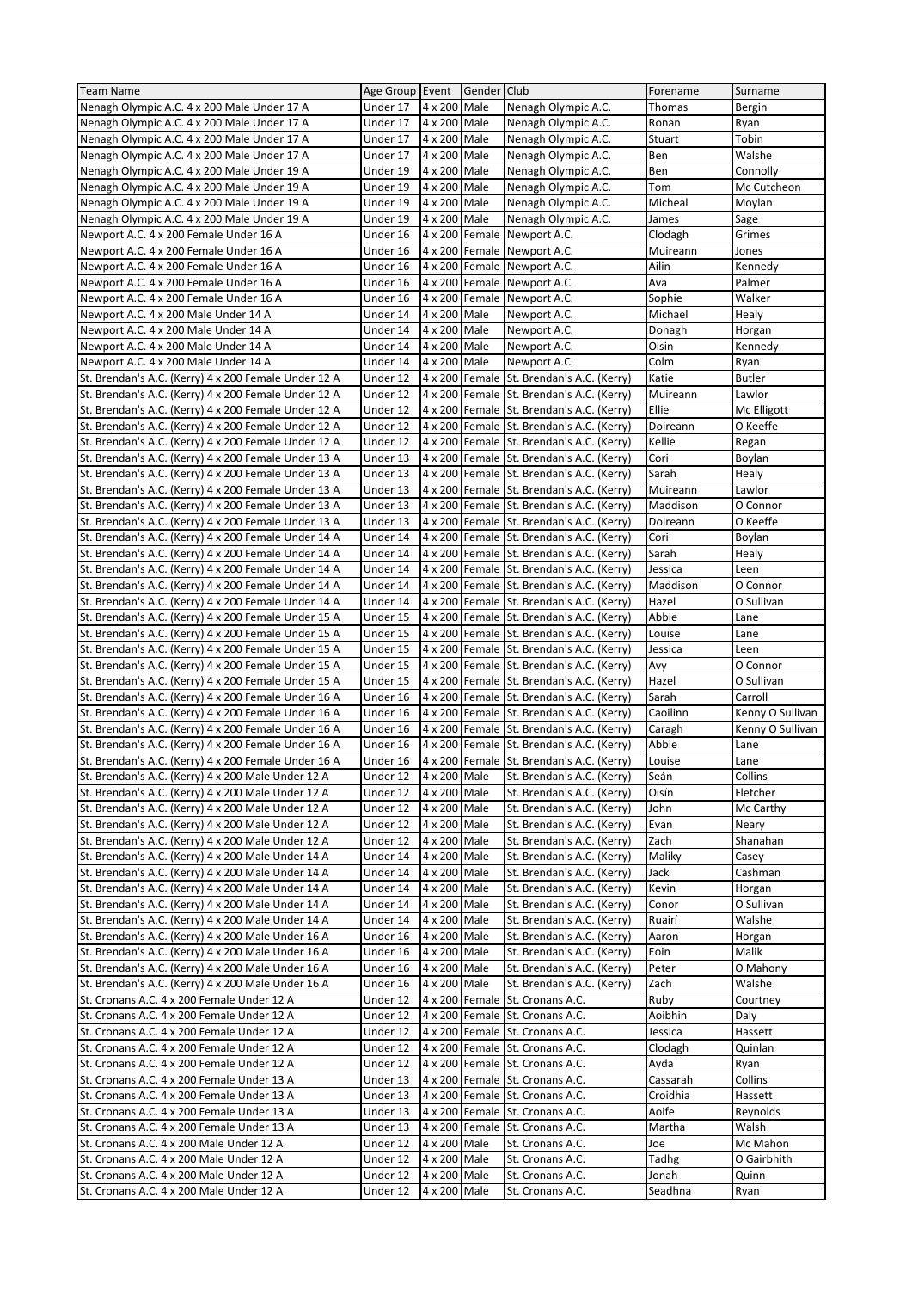| <b>Team Name</b>                                     | Age Group Event Gender Club |                |                |                                           | Forename | Surname          |
|------------------------------------------------------|-----------------------------|----------------|----------------|-------------------------------------------|----------|------------------|
| Nenagh Olympic A.C. 4 x 200 Male Under 17 A          | Under 17                    | 4 x 200 Male   |                | Nenagh Olympic A.C.                       | Thomas   | Bergin           |
| Nenagh Olympic A.C. 4 x 200 Male Under 17 A          | Under 17                    | 4 x 200 Male   |                | Nenagh Olympic A.C.                       | Ronan    | Ryan             |
| Nenagh Olympic A.C. 4 x 200 Male Under 17 A          | Under 17                    | 4 x 200 Male   |                | Nenagh Olympic A.C.                       | Stuart   | Tobin            |
| Nenagh Olympic A.C. 4 x 200 Male Under 17 A          | Under 17                    | 4 x 200 Male   |                | Nenagh Olympic A.C.                       | Ben      | Walshe           |
| Nenagh Olympic A.C. 4 x 200 Male Under 19 A          | Under 19                    | 4 x 200 Male   |                | Nenagh Olympic A.C.                       | Ben      | Connolly         |
| Nenagh Olympic A.C. 4 x 200 Male Under 19 A          | Under 19                    | 4 x 200 Male   |                | Nenagh Olympic A.C.                       | Tom      | Mc Cutcheon      |
| Nenagh Olympic A.C. 4 x 200 Male Under 19 A          | Under 19                    | 4 x 200 Male   |                | Nenagh Olympic A.C.                       | Micheal  | Moylan           |
| Nenagh Olympic A.C. 4 x 200 Male Under 19 A          | Under 19                    | 4 x 200 Male   |                | Nenagh Olympic A.C.                       | James    | Sage             |
| Newport A.C. 4 x 200 Female Under 16 A               | Under 16                    |                | 4 x 200 Female | Newport A.C.                              | Clodagh  | Grimes           |
| Newport A.C. 4 x 200 Female Under 16 A               | Under 16                    |                |                | 4 x 200 Female Newport A.C.               | Muireann | Jones            |
| Newport A.C. 4 x 200 Female Under 16 A               | Under 16                    |                | 4 x 200 Female | Newport A.C.                              | Ailin    | Kennedy          |
| Newport A.C. 4 x 200 Female Under 16 A               | Under 16                    |                |                | 4 x 200 Female Newport A.C.               | Ava      | Palmer           |
| Newport A.C. 4 x 200 Female Under 16 A               | Under 16                    |                |                | 4 x 200 Female Newport A.C.               | Sophie   | Walker           |
| Newport A.C. 4 x 200 Male Under 14 A                 | Under 14                    | 4 x 200 Male   |                | Newport A.C.                              | Michael  | Healy            |
| Newport A.C. 4 x 200 Male Under 14 A                 | Under 14                    | 4 x 200 Male   |                | Newport A.C.                              | Donagh   | Horgan           |
| Newport A.C. 4 x 200 Male Under 14 A                 | Under 14                    | 4 x 200 Male   |                | Newport A.C.                              | Oisin    | Kennedy          |
| Newport A.C. 4 x 200 Male Under 14 A                 | Under 14                    | 4 x 200 Male   |                | Newport A.C.                              | Colm     | Ryan             |
| St. Brendan's A.C. (Kerry) 4 x 200 Female Under 12 A | Under 12                    |                |                | 4 x 200 Female St. Brendan's A.C. (Kerry) | Katie    | <b>Butler</b>    |
| St. Brendan's A.C. (Kerry) 4 x 200 Female Under 12 A | Under 12                    |                |                | 4 x 200 Female St. Brendan's A.C. (Kerry) | Muireann | Lawlor           |
| St. Brendan's A.C. (Kerry) 4 x 200 Female Under 12 A | Under 12                    |                |                | 4 x 200 Female St. Brendan's A.C. (Kerry) | Ellie    | Mc Elligott      |
| St. Brendan's A.C. (Kerry) 4 x 200 Female Under 12 A | Under 12                    |                |                | 4 x 200 Female St. Brendan's A.C. (Kerry) | Doireann | O Keeffe         |
| St. Brendan's A.C. (Kerry) 4 x 200 Female Under 12 A | Under 12                    |                |                | 4 x 200 Female St. Brendan's A.C. (Kerry) | Kellie   | Regan            |
| St. Brendan's A.C. (Kerry) 4 x 200 Female Under 13 A | Under 13                    |                |                | 4 x 200 Female St. Brendan's A.C. (Kerry) | Cori     | Boylan           |
| St. Brendan's A.C. (Kerry) 4 x 200 Female Under 13 A | Under 13                    |                |                | 4 x 200 Female St. Brendan's A.C. (Kerry) | Sarah    | Healy            |
| St. Brendan's A.C. (Kerry) 4 x 200 Female Under 13 A | Under 13                    | $4 \times 200$ |                | Female St. Brendan's A.C. (Kerry)         | Muireann | Lawlor           |
| St. Brendan's A.C. (Kerry) 4 x 200 Female Under 13 A | Under 13                    |                |                | 4 x 200 Female St. Brendan's A.C. (Kerry) | Maddison | O Connor         |
| St. Brendan's A.C. (Kerry) 4 x 200 Female Under 13 A | Under 13                    |                |                | 4 x 200 Female St. Brendan's A.C. (Kerry) | Doireann | O Keeffe         |
| St. Brendan's A.C. (Kerry) 4 x 200 Female Under 14 A | Under 14                    |                |                | 4 x 200 Female St. Brendan's A.C. (Kerry) | Cori     | Boylan           |
| St. Brendan's A.C. (Kerry) 4 x 200 Female Under 14 A | Under 14                    |                |                | 4 x 200 Female St. Brendan's A.C. (Kerry) | Sarah    | Healy            |
| St. Brendan's A.C. (Kerry) 4 x 200 Female Under 14 A | Under 14                    |                |                | 4 x 200 Female St. Brendan's A.C. (Kerry) | Jessica  | Leen             |
| St. Brendan's A.C. (Kerry) 4 x 200 Female Under 14 A | Under 14                    |                |                | 4 x 200 Female St. Brendan's A.C. (Kerry) | Maddison | O Connor         |
| St. Brendan's A.C. (Kerry) 4 x 200 Female Under 14 A | Under 14                    |                |                | 4 x 200 Female St. Brendan's A.C. (Kerry) | Hazel    | O Sullivan       |
| St. Brendan's A.C. (Kerry) 4 x 200 Female Under 15 A | Under 15                    |                |                | 4 x 200 Female St. Brendan's A.C. (Kerry) | Abbie    | Lane             |
| St. Brendan's A.C. (Kerry) 4 x 200 Female Under 15 A | Under 15                    |                |                | 4 x 200 Female St. Brendan's A.C. (Kerry) | Louise   | Lane             |
| St. Brendan's A.C. (Kerry) 4 x 200 Female Under 15 A | Under 15                    |                |                | 4 x 200 Female St. Brendan's A.C. (Kerry) | Jessica  | Leen             |
| St. Brendan's A.C. (Kerry) 4 x 200 Female Under 15 A | Under 15                    |                |                | 4 x 200 Female St. Brendan's A.C. (Kerry) | Avy      | O Connor         |
| St. Brendan's A.C. (Kerry) 4 x 200 Female Under 15 A | Under 15                    |                |                | 4 x 200 Female St. Brendan's A.C. (Kerry) | Hazel    | O Sullivan       |
| St. Brendan's A.C. (Kerry) 4 x 200 Female Under 16 A | Under 16                    |                |                | 4 x 200 Female St. Brendan's A.C. (Kerry) | Sarah    | Carroll          |
| St. Brendan's A.C. (Kerry) 4 x 200 Female Under 16 A | Under 16                    |                |                | 4 x 200 Female St. Brendan's A.C. (Kerry) | Caoilinn | Kenny O Sullivan |
| St. Brendan's A.C. (Kerry) 4 x 200 Female Under 16 A | Under 16                    |                |                | 4 x 200 Female St. Brendan's A.C. (Kerry) | Caragh   | Kenny O Sullivan |
| St. Brendan's A.C. (Kerry) 4 x 200 Female Under 16 A | Under 16                    |                |                | 4 x 200 Female St. Brendan's A.C. (Kerry) | Abbie    | Lane             |
| St. Brendan's A.C. (Kerry) 4 x 200 Female Under 16 A | Under 16                    |                |                | 4 x 200 Female St. Brendan's A.C. (Kerry) | Louise   | Lane             |
| St. Brendan's A.C. (Kerry) 4 x 200 Male Under 12 A   | Under 12                    | 4 x 200 Male   |                | St. Brendan's A.C. (Kerry)                | Seán     | Collins          |
| St. Brendan's A.C. (Kerry) 4 x 200 Male Under 12 A   | Under 12                    | 4 x 200 Male   |                | St. Brendan's A.C. (Kerry)                | Oisín    | Fletcher         |
| St. Brendan's A.C. (Kerry) 4 x 200 Male Under 12 A   | Under 12                    | 4 x 200 Male   |                | St. Brendan's A.C. (Kerry)                | John     | Mc Carthy        |
| St. Brendan's A.C. (Kerry) 4 x 200 Male Under 12 A   | Under 12                    | 4 x 200 Male   |                | St. Brendan's A.C. (Kerry)                | Evan     | Neary            |
| St. Brendan's A.C. (Kerry) 4 x 200 Male Under 12 A   | Under 12                    | 4 x 200 Male   |                | St. Brendan's A.C. (Kerry)                | Zach     | Shanahan         |
| St. Brendan's A.C. (Kerry) 4 x 200 Male Under 14 A   | Under 14                    | 4 x 200 Male   |                | St. Brendan's A.C. (Kerry)                | Maliky   | Casey            |
| St. Brendan's A.C. (Kerry) 4 x 200 Male Under 14 A   | Under 14                    | 4 x 200 Male   |                | St. Brendan's A.C. (Kerry)                | Jack     | Cashman          |
| St. Brendan's A.C. (Kerry) 4 x 200 Male Under 14 A   | Under 14                    | 4 x 200 Male   |                | St. Brendan's A.C. (Kerry)                | Kevin    | Horgan           |
| St. Brendan's A.C. (Kerry) 4 x 200 Male Under 14 A   | Under 14                    | 4 x 200 Male   |                | St. Brendan's A.C. (Kerry)                | Conor    | O Sullivan       |
| St. Brendan's A.C. (Kerry) 4 x 200 Male Under 14 A   | Under 14                    | 4 x 200 Male   |                | St. Brendan's A.C. (Kerry)                | Ruairí   | Walshe           |
| St. Brendan's A.C. (Kerry) 4 x 200 Male Under 16 A   | Under 16                    | 4 x 200 Male   |                | St. Brendan's A.C. (Kerry)                | Aaron    | Horgan           |
| St. Brendan's A.C. (Kerry) 4 x 200 Male Under 16 A   | Under 16                    | 4 x 200 Male   |                | St. Brendan's A.C. (Kerry)                | Eoin     | Malik            |
| St. Brendan's A.C. (Kerry) 4 x 200 Male Under 16 A   | Under 16                    | 4 x 200 Male   |                | St. Brendan's A.C. (Kerry)                | Peter    | O Mahony         |
| St. Brendan's A.C. (Kerry) 4 x 200 Male Under 16 A   | Under 16                    | 4 x 200 Male   |                | St. Brendan's A.C. (Kerry)                | Zach     | Walshe           |
| St. Cronans A.C. 4 x 200 Female Under 12 A           | Under 12                    |                | 4 x 200 Female | St. Cronans A.C.                          | Ruby     | Courtney         |
| St. Cronans A.C. 4 x 200 Female Under 12 A           | Under 12                    |                |                | 4 x 200 Female St. Cronans A.C.           | Aoibhin  | Daly             |
| St. Cronans A.C. 4 x 200 Female Under 12 A           | Under 12                    |                |                | 4 x 200 Female St. Cronans A.C.           | Jessica  | Hassett          |
| St. Cronans A.C. 4 x 200 Female Under 12 A           | Under 12                    |                |                | 4 x 200 Female St. Cronans A.C.           | Clodagh  | Quinlan          |
| St. Cronans A.C. 4 x 200 Female Under 12 A           | Under 12                    |                |                | 4 x 200 Female St. Cronans A.C.           | Ayda     | Ryan             |
| St. Cronans A.C. 4 x 200 Female Under 13 A           | Under 13                    |                |                | 4 x 200 Female St. Cronans A.C.           | Cassarah | Collins          |
| St. Cronans A.C. 4 x 200 Female Under 13 A           | Under 13                    |                |                | 4 x 200 Female St. Cronans A.C.           | Croidhia | Hassett          |
| St. Cronans A.C. 4 x 200 Female Under 13 A           | Under 13                    |                |                | 4 x 200 Female St. Cronans A.C.           | Aoife    | Reynolds         |
| St. Cronans A.C. 4 x 200 Female Under 13 A           | Under 13                    |                |                | 4 x 200 Female St. Cronans A.C.           | Martha   | Walsh            |
| St. Cronans A.C. 4 x 200 Male Under 12 A             | Under 12                    | 4 x 200 Male   |                | St. Cronans A.C.                          | Joe      | Mc Mahon         |
| St. Cronans A.C. 4 x 200 Male Under 12 A             | Under 12                    | 4 x 200 Male   |                | St. Cronans A.C.                          | Tadhg    | O Gairbhith      |
| St. Cronans A.C. 4 x 200 Male Under 12 A             | Under 12                    | 4 x 200 Male   |                | St. Cronans A.C.                          | Jonah    | Quinn            |
| St. Cronans A.C. 4 x 200 Male Under 12 A             | Under 12                    | 4 x 200 Male   |                | St. Cronans A.C.                          | Seadhna  | Ryan             |